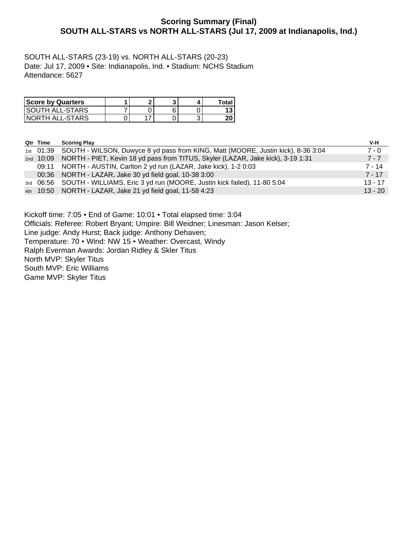# **Scoring Summary (Final) SOUTH ALL-STARS vs NORTH ALL-STARS (Jul 17, 2009 at Indianapolis, Ind.)**

SOUTH ALL-STARS (23-19) vs. NORTH ALL-STARS (20-23) Date: Jul 17, 2009 • Site: Indianapolis, Ind. • Stadium: NCHS Stadium Attendance: 5627

| <b>Score by Quarters</b> | ິ |  | Total |
|--------------------------|---|--|-------|
| <b>SOUTH ALL-STARS</b>   |   |  | N     |
| NORTH ALL-STARS          | - |  | 20    |

| Qtr Time | <b>Scoring Play</b>                                                                        | V-H       |
|----------|--------------------------------------------------------------------------------------------|-----------|
|          | 1st 01:39 SOUTH - WILSON, Duwyce 8 yd pass from KING, Matt (MOORE, Justin kick), 8-36 3:04 | $7 - 0$   |
|          | 2nd 10:09 NORTH - PIET, Kevin 18 yd pass from TITUS, Skyler (LAZAR, Jake kick), 3-19 1:31  | $7 - 7$   |
| 09:11    | NORTH - AUSTIN, Carlton 2 yd run (LAZAR, Jake kick), 1-2 0:03                              | 7 - 14    |
|          | 00:36 NORTH - LAZAR, Jake 30 yd field goal, 10-38 3:00                                     | $7 - 17$  |
|          | 3rd 06:56 SOUTH - WILLIAMS, Eric 3 yd run (MOORE, Justin kick failed), 11-80 5:04          | $13 - 17$ |
|          | 4th 10:50 NORTH - LAZAR, Jake 21 yd field goal, 11-58 4:23                                 | $13 - 20$ |

Kickoff time: 7:05 • End of Game: 10:01 • Total elapsed time: 3:04

Officials: Referee: Robert Bryant; Umpire: Bill Weidner; Linesman: Jason Kelser;

Line judge: Andy Hurst; Back judge: Anthony Dehaven;

Temperature: 70 • Wind: NW 15 • Weather: Overcast, Windy

Ralph Everman Awards: Jordan Ridley & Skler Titus

North MVP: Skyler Titus

South MVP: Eric Williams

Game MVP: Skyler Titus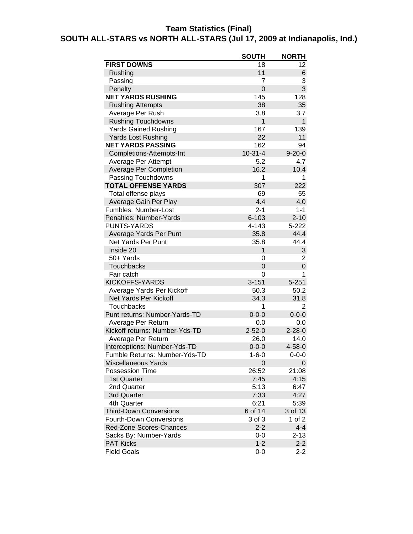# **Team Statistics (Final)**

# **SOUTH ALL-STARS vs NORTH ALL-STARS (Jul 17, 2009 at Indianapolis, Ind.)**

|                                | <b>SOUTH</b>   | <b>NORTH</b> |
|--------------------------------|----------------|--------------|
| <b>FIRST DOWNS</b>             | 18             | 12           |
| Rushing                        | 11             | 6            |
| Passing                        | 7              | 3            |
| Penalty                        | $\overline{0}$ | 3            |
| <b>NET YARDS RUSHING</b>       | 145            | 128          |
| <b>Rushing Attempts</b>        | 38             | 35           |
| Average Per Rush               | 3.8            | 3.7          |
| <b>Rushing Touchdowns</b>      | $\mathbf{1}$   | $\mathbf{1}$ |
| <b>Yards Gained Rushing</b>    | 167            | 139          |
| <b>Yards Lost Rushing</b>      | 22             | 11           |
| <b>NET YARDS PASSING</b>       | 162            | 94           |
| Completions-Attempts-Int       | $10 - 31 - 4$  | $9 - 20 - 0$ |
| Average Per Attempt            | 5.2            | 4.7          |
| <b>Average Per Completion</b>  | 16.2           | 10.4         |
| Passing Touchdowns             | 1              | 1            |
| <b>TOTAL OFFENSE YARDS</b>     | 307            | 222          |
| Total offense plays            | 69             | 55           |
| Average Gain Per Play          | 4.4            | 4.0          |
| Fumbles: Number-Lost           | $2 - 1$        | $1 - 1$      |
| Penalties: Number-Yards        | $6 - 103$      | $2 - 10$     |
| <b>PUNTS-YARDS</b>             | 4-143          | $5 - 222$    |
| Average Yards Per Punt         | 35.8           | 44.4         |
| <b>Net Yards Per Punt</b>      | 35.8           | 44.4         |
| Inside 20                      | 1              | 3            |
| 50+ Yards                      | 0              | 2            |
| <b>Touchbacks</b>              | 0              | 0            |
| Fair catch                     | $\mathbf 0$    | 1            |
| <b>KICKOFFS-YARDS</b>          | $3 - 151$      | $5 - 251$    |
| Average Yards Per Kickoff      | 50.3           | 50.2         |
| Net Yards Per Kickoff          | 34.3           | 31.8         |
| Touchbacks                     | 1              | 2            |
| Punt returns: Number-Yards-TD  | $0 - 0 - 0$    | $0 - 0 - 0$  |
| Average Per Return             | 0.0            | 0.0          |
| Kickoff returns: Number-Yds-TD | $2 - 52 - 0$   | $2 - 28 - 0$ |
| Average Per Return             | 26.0           | 14.0         |
| Interceptions: Number-Yds-TD   | $0 - 0 - 0$    | $4 - 58 - 0$ |
| Fumble Returns: Number-Yds-TD  | 1-6-0          | 0-0-0        |
| Miscellaneous Yards            | 0              | $\mathbf{0}$ |
| <b>Possession Time</b>         | 26:52          | 21:08        |
| 1st Quarter                    | 7:45           | 4:15         |
| 2nd Quarter                    | 5:13           | 6:47         |
| 3rd Quarter                    | 7:33           | 4:27         |
| 4th Quarter                    | 6:21           | 5:39         |
| <b>Third-Down Conversions</b>  | 6 of 14        | 3 of 13      |
| <b>Fourth-Down Conversions</b> | 3 of 3         | 1 of 2       |
| Red-Zone Scores-Chances        | $2 - 2$        | $4 - 4$      |
| Sacks By: Number-Yards         | $0-0$          | $2 - 13$     |
| <b>PAT Kicks</b>               | $1 - 2$        | $2 - 2$      |
| <b>Field Goals</b>             | $0-0$          | $2 - 2$      |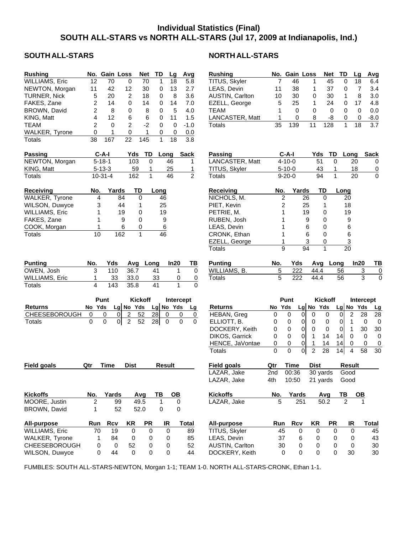# **Individual Statistics (Final) SOUTH ALL-STARS vs NORTH ALL-STARS (Jul 17, 2009 at Indianapolis, Ind.)**

| <b>Rushing</b>        |                 | No. Gain Loss                 |                | <b>Net</b>     | TD                   | Lg              | Avg                        | <b>Rushing</b>     |                | No. Gain Loss |                                  | <b>Net</b>     | TD                               | Avg<br>Lg                            |
|-----------------------|-----------------|-------------------------------|----------------|----------------|----------------------|-----------------|----------------------------|--------------------|----------------|---------------|----------------------------------|----------------|----------------------------------|--------------------------------------|
| <b>WILLIAMS, Eric</b> | $\overline{12}$ | 70                            | 0              | 70             | 1                    | 18              | 5.8                        | TITUS, Skyler      | 7              | 46            | 1                                | 45             | $\pmb{0}$                        | 18<br>6.4                            |
| NEWTON, Morgan        | 11              | 42                            | 12             | 30             | 0                    | 13              | 2.7                        | LEAS, Devin        | 11             | 38            | 1                                | 37             | 0                                | $\overline{7}$<br>3.4                |
| <b>TURNER, Nick</b>   | 5               | 20                            | 2              | 18             | 0                    | 8               | 3.6                        | AUSTIN, Carlton    | 10             | 30            | 0                                | 30             | 1                                | 8<br>3.0                             |
|                       |                 |                               |                |                |                      |                 |                            |                    |                |               |                                  |                |                                  |                                      |
| FAKES, Zane           | $\overline{c}$  | 14                            | $\mathbf 0$    | 14             | 0                    | 14              | 7.0                        | EZELL, George      | 5              | 25            | $\mathbf{1}$                     | 24             | 0                                | 4.8<br>17                            |
| BROWN, David          | $\overline{c}$  | 8                             | 0              | 8              | 0                    | 5               | 4.0                        | <b>TEAM</b>        | 1              | $\mathbf 0$   | $\Omega$                         | $\mathbf 0$    | 0                                | 0.0<br>$\mathbf 0$                   |
| KING, Matt            | 4               | 12                            | 6              | 6              | 0                    | 11              | 1.5                        | LANCASTER, Matt    | 1              | 0             | 8                                | -8             | 0                                | $-8.0$<br>$\mathbf 0$                |
| <b>TEAM</b>           | 2               | $\Omega$                      | 2              | $-2$           | 0                    | 0               | $-1.0$                     | <b>Totals</b>      | 35             | 139           | 11                               | 128            | $\mathbf{1}$                     | 18<br>$\overline{3.7}$               |
| WALKER, Tyrone        | 0               | 1                             | 0              | 1              | 0                    | $\pmb{0}$       | 0.0                        |                    |                |               |                                  |                |                                  |                                      |
|                       |                 |                               |                |                |                      |                 |                            |                    |                |               |                                  |                |                                  |                                      |
| Totals                | 38              | 167                           | 22             | 145            | $\mathbf{1}$         | 18              | 3.8                        |                    |                |               |                                  |                |                                  |                                      |
|                       |                 |                               |                |                |                      |                 |                            |                    |                |               |                                  |                |                                  |                                      |
| <b>Passing</b>        |                 | $C-A-I$                       | Yds            | TD             | Long                 |                 | <b>Sack</b>                | <b>Passing</b>     |                | $C-A-I$       | Yds                              | TD             | Long                             | <b>Sack</b>                          |
| NEWTON, Morgan        |                 | $5 - 18 - 1$                  | 103            | 0              |                      | 46              | 1                          | LANCASTER, Matt    |                | $4 - 10 - 0$  | 51                               | 0              | 20                               | 0                                    |
| KING, Matt            |                 | $5 - 13 - 3$                  | 59             | 1              |                      | 25              | 1                          | TITUS, Skyler      |                | $5 - 10 - 0$  |                                  | 43<br>1        | 18                               | $\overline{0}$                       |
| <b>Totals</b>         |                 | $10 - 31 - 4$                 | 162            | $\mathbf{1}$   |                      | 46              | $\overline{2}$             | <b>Totals</b>      |                | $9 - 20 - 0$  | 94                               | $\mathbf{1}$   | 20                               | $\mathbf 0$                          |
|                       |                 |                               |                |                |                      |                 |                            |                    |                |               |                                  |                |                                  |                                      |
|                       |                 |                               |                |                |                      |                 |                            |                    |                |               |                                  |                |                                  |                                      |
| <b>Receiving</b>      | No.             | <b>Yards</b>                  |                | TD             | Long                 |                 |                            | <b>Receiving</b>   | No.            | Yards         |                                  | TD             | Long                             |                                      |
| WALKER, Tyrone        | 4               |                               | 84             | 0              | 46                   |                 |                            | NICHOLS, M.        | 2              |               | 26                               | 0              | 20                               |                                      |
| WILSON, Duwyce        | 3               |                               | 44             | 1              | 25                   |                 |                            | PIET, Kevin        | 2              |               | 25                               | 1              | 18                               |                                      |
| <b>WILLIAMS, Eric</b> | 1               |                               | 19             | 0              | 19                   |                 |                            | PETRIE, M.         | 1              |               | 19                               | 0              | 19                               |                                      |
| FAKES, Zane           | 1               |                               | 9              | 0              | 9                    |                 |                            | RUBEN, Josh        | 1              |               | 9                                | 0              | 9                                |                                      |
|                       |                 |                               | 6              | 0              |                      |                 |                            |                    | 1              |               | 6                                | 0              |                                  |                                      |
| COOK, Morgan          |                 |                               |                |                | 6                    |                 |                            | LEAS, Devin        |                |               |                                  |                | 6                                |                                      |
| <b>Totals</b>         | 10              | 162                           |                | $\mathbf{1}$   | $\overline{46}$      |                 |                            | CRONK, Ethan       | 1              |               | 6                                | 0              | 6                                |                                      |
|                       |                 |                               |                |                |                      |                 |                            | EZELL, George      | 1              |               | 3                                | 0              | $\overline{3}$                   |                                      |
|                       |                 |                               |                |                |                      |                 |                            | <b>Totals</b>      | 9              |               | 94                               | $\mathbf{1}$   | 20                               |                                      |
|                       |                 |                               |                |                |                      |                 |                            |                    |                |               |                                  |                |                                  |                                      |
| <b>Punting</b>        | No.             | Yds                           | Avg            | Long           |                      | In20            | ТВ                         | <b>Punting</b>     | No.            | Yds           |                                  | Avg Long       |                                  | In20<br>T                            |
| OWEN, Josh            | 3               | 110                           | 36.7           |                | 41                   | 1               | $\mathbf 0$                | WILLIAMS, B.       | 5              | 222           | 44.4                             |                | 56                               | $\ensuremath{\mathsf{3}}$            |
|                       | 1               | 33                            | 33.0           |                | 33                   | 0               |                            | Totals             | $\overline{5}$ | 222           | 44.4                             |                | 56                               | 3                                    |
| <b>WILLIAMS, Eric</b> |                 |                               |                |                |                      |                 | $\overline{0}$             |                    |                |               |                                  |                |                                  |                                      |
| Totals                | 4               | 143                           | 35.8           |                | 41                   | $\mathbf{1}$    | 0                          |                    |                |               |                                  |                |                                  |                                      |
|                       |                 |                               |                |                |                      |                 |                            |                    |                |               |                                  |                |                                  |                                      |
|                       |                 |                               |                |                |                      |                 |                            |                    |                |               |                                  |                |                                  |                                      |
|                       |                 | Punt                          |                | <b>Kickoff</b> |                      |                 | Intercept                  |                    |                | Punt          |                                  | <b>Kickoff</b> |                                  | Intercept                            |
| <b>Returns</b>        | No Yds          |                               | Lg No Yds      |                | Lg No Yds            |                 | Lg                         | <b>Returns</b>     | No Yds         |               | $Lg$ No Yds                      |                | $Lg$ No Yds                      | L                                    |
| CHEESEBOROUGH         | $\mathbf 0$     | $\overline{0}$<br>0           | $\overline{c}$ | 52             | 28<br>$\mathbf 0$    |                 | $\mathbf 0$<br>$\mathbf 0$ | HEBAN, Greg        | 0              | $\mathbf 0$   | 0 <br>$\mathbf 0$                | $\pmb{0}$      | $\overline{2}$<br>$\overline{0}$ | 28<br>28                             |
|                       | $\Omega$        |                               |                |                |                      |                 | $\Omega$<br>$\Omega$       |                    |                |               |                                  |                |                                  |                                      |
| <b>Totals</b>         |                 | $\mathbf 0$<br>$\overline{0}$ | $\overline{2}$ | 52             | 28<br>$\overline{0}$ |                 |                            | ELLIOTT, B.        | 0              | 0             | $\overline{0}$<br>$\mathbf 0$    | 0              | $\mathbf{1}$<br>$\overline{0}$   | $\pmb{0}$<br>(                       |
|                       |                 |                               |                |                |                      |                 |                            | DOCKERY, Keith     | 0              | 0             | $\overline{0}$<br>$\mathbf 0$    | $\pmb{0}$      | $\mathbf{1}$<br> 0               | 30<br>3 <sub>0</sub>                 |
|                       |                 |                               |                |                |                      |                 |                            | DIKOS, Garrick     | 0              | 0             | $\overline{0}$<br>1              | 14             | $\mathbf 0$<br> 14               | $\pmb{0}$<br>$\overline{\mathbf{C}}$ |
|                       |                 |                               |                |                |                      |                 |                            | HENCE, JaVontae    | 0              | 0             | $\overline{0}$<br>1              | 14             | 14<br>$\mathbf 0$                | 0                                    |
|                       |                 |                               |                |                |                      |                 |                            | Totals             | 0              | $\mathbf 0$   | $\overline{c}$<br>$\overline{0}$ | 28             | 14<br>$\overline{4}$             | 58<br>3 <sub>0</sub>                 |
|                       |                 |                               |                |                |                      |                 |                            |                    |                |               |                                  |                |                                  |                                      |
|                       | Qtr             | <b>Time</b>                   | <b>Dist</b>    |                | <b>Result</b>        |                 |                            |                    | Qtr            | <b>Time</b>   | <b>Dist</b>                      |                | <b>Result</b>                    |                                      |
| <b>Field goals</b>    |                 |                               |                |                |                      |                 |                            | <b>Field goals</b> |                |               |                                  |                |                                  |                                      |
|                       |                 |                               |                |                |                      |                 |                            | LAZAR, Jake        | 2nd            | 00:36         |                                  | 30 yards       | Good                             |                                      |
|                       |                 |                               |                |                |                      |                 |                            | LAZAR, Jake        | 4th            | 10:50         |                                  | 21 yards       | Good                             |                                      |
|                       |                 |                               |                |                |                      |                 |                            |                    |                |               |                                  |                |                                  |                                      |
| <b>Kickoffs</b>       | No.             | Yards                         |                | Avg            | TB                   | $\overline{OB}$ |                            | <b>Kickoffs</b>    | No.            | Yards         |                                  | Avg            | TВ                               | <b>OB</b>                            |
| MOORE, Justin         | $\overline{2}$  | 99                            |                | 49.5           | 1                    | 0               |                            | LAZAR, Jake        | 5              | 251           |                                  | 50.2           | $\overline{2}$                   |                                      |
| BROWN, David          | 1               | 52                            |                | 52.0           | 0                    | 0               |                            |                    |                |               |                                  |                |                                  |                                      |
|                       |                 |                               |                |                |                      |                 |                            |                    |                |               |                                  |                |                                  |                                      |
|                       |                 |                               |                |                |                      |                 |                            |                    |                |               |                                  |                |                                  |                                      |
| <b>All-purpose</b>    | Run             | <b>Rcv</b>                    | KR             | <b>PR</b>      | IR                   |                 | <b>Total</b>               | All-purpose        | Run            | <b>Rcv</b>    | <b>KR</b>                        | <b>PR</b>      | IR                               | <b>Total</b>                         |
| <b>WILLIAMS, Eric</b> | 70              | 19                            | 0              | 0              |                      | $\mathbf 0$     | 89                         | TITUS, Skyler      | 45             | 0             | 0                                | 0              | 0                                | 45                                   |
| WALKER, Tyrone        | 1               | 84                            | 0              | 0              |                      | 0               | 85                         | LEAS, Devin        | 37             | 6             | 0                                | 0              | 0                                | 43                                   |
| <b>CHEESEBOROUGH</b>  | 0               | 0                             | 52             | 0              |                      | 0               | 52                         | AUSTIN, Carlton    | 30             | 0             | 0                                | 0              | 0                                | 30                                   |
| WILSON, Duwyce        | 0               | 44                            | $\mathbf{0}$   | $\mathbf 0$    |                      | 0               | 44                         | DOCKERY, Keith     | 0              | 0             | $\mathbf 0$                      | 0              | 30                               | 30                                   |

## SOUTH ALL-STARS NORTH ALL-STARS

| <b>Rushing</b>                                                      | No.    | <b>Gain Loss</b>                                        |                |                     | <b>Net</b>         | TD                |               | Lg             | Avg                        |
|---------------------------------------------------------------------|--------|---------------------------------------------------------|----------------|---------------------|--------------------|-------------------|---------------|----------------|----------------------------|
| TITUS, Skyler                                                       | 7      | 46                                                      |                | 1                   | 45                 |                   | 0             | 18             | 6.4                        |
| LEAS, Devin                                                         | 11     | 38                                                      |                | 1                   | 37                 |                   | 0             | 7              | 3.4                        |
| AUSTIN, Carlton                                                     | 10     | 30                                                      |                | 0                   | 30                 |                   | 1             | 8              | 3.0                        |
| EZELL, George                                                       | 5      | 25                                                      |                | 1                   | 24                 |                   | 0             | 17             | 4.8                        |
| TEAM                                                                | 1      | 0                                                       |                | 0                   | 0                  |                   | 0             | 0              | 0.0                        |
| LANCASTER, Matt                                                     | 1      | 0                                                       |                | 8                   | -8                 |                   | 0             | 0              | -8.0                       |
| <b>Totals</b>                                                       | 35     | 139                                                     |                | 11                  | 128                |                   | 1             | 18             | 3.7                        |
| <b>Passing</b><br>LANCASTER, Matt<br>TITUS, Skyler<br><b>Totals</b> |        | $C-A-I$<br>$4 - 10 - 0$<br>$5 - 10 - 0$<br>$9 - 20 - 0$ |                | <b>Yds</b>          | 51<br>43<br>94     | TD<br>0<br>1<br>1 | Long          | 20<br>18<br>20 | <b>Sack</b><br>0<br>0<br>0 |
|                                                                     |        |                                                         |                |                     |                    |                   |               |                |                            |
| Receiving                                                           | No.    |                                                         | Yards          |                     | TD                 | Long              |               |                |                            |
| NICHOLS, M.                                                         |        | $\overline{2}$                                          | 26             |                     | 0                  |                   | 20            |                |                            |
| PIET, Kevin                                                         |        | 2                                                       | 25             |                     | 1                  |                   | 18            |                |                            |
| PETRIE, M.                                                          |        | 1                                                       | 19             |                     | 0                  |                   | 19            |                |                            |
| RUBEN, Josh                                                         |        | 1                                                       | 9              |                     | 0                  |                   | 9             |                |                            |
| LEAS, Devin                                                         |        | 1                                                       | 6              |                     | 0                  |                   | 6             |                |                            |
| CRONK, Ethan                                                        |        | 1                                                       | 6              |                     | 0                  |                   | 6             |                |                            |
| EZELL, George                                                       |        | 1                                                       | 3              |                     | 0                  |                   | 3             |                |                            |
| <b>Totals</b>                                                       |        | 9                                                       | 94             |                     | 1                  |                   | 20            |                |                            |
|                                                                     |        |                                                         |                |                     |                    |                   |               |                |                            |
|                                                                     |        |                                                         |                |                     |                    |                   |               |                |                            |
| <b>Punting</b><br>WILLIAMS, B.                                      | No.    | Yds<br>222                                              |                | 44.4                | Avg                | Long<br>56        |               | In20           | ΤВ                         |
| <b>Totals</b>                                                       | 5<br>5 | 222                                                     |                | 44.4                |                    | 56                |               | 3<br>3         | $\overline{0}$<br>0        |
|                                                                     |        |                                                         |                |                     |                    |                   |               |                |                            |
|                                                                     |        |                                                         |                |                     |                    |                   |               |                |                            |
|                                                                     |        | Punt                                                    |                |                     | <b>Kickoff</b>     |                   |               |                | Intercept                  |
| <b>Returns</b>                                                      | No     | Yds                                                     |                | Lg No Yds           |                    |                   | $Lg$ No       | Yds            | Lg                         |
| HEBAN, Greg                                                         | 0      | 0                                                       | 0              | 0                   | 0                  | 0                 | 2             |                | 28<br>28                   |
| ELLIOTT, B.                                                         | 0      | 0                                                       | 0              | 0                   | 0                  | 0                 | 1             |                | 0<br>0                     |
| DOCKERY, Keith                                                      | 0      | 0                                                       | $\overline{0}$ | 0                   | 0                  | $\overline{0}$    | $\mathbf{1}$  |                | 30<br>30                   |
| DIKOS, Garrick                                                      | 0      | 0                                                       | 0              | 1                   | 14<br>14           | 14<br>14          | 0             |                | 0<br>0                     |
| HENCE, JaVontae<br><b>Totals</b>                                    | 0<br>0 | 0<br>0                                                  | 0<br>이         | 1<br>$\overline{c}$ | 28                 | 14                | 0<br>4        |                | 0<br>0<br>58<br>30         |
|                                                                     |        |                                                         |                |                     |                    |                   |               |                |                            |
| <b>Field goals</b>                                                  | Qtr    | <b>Time</b>                                             |                | <b>Dist</b>         |                    |                   | <b>Result</b> |                |                            |
| LAZAR, Jake                                                         | 2nd    | 00:36                                                   |                |                     | 30 yards           |                   | Good          |                |                            |
| LAZAR, Jake                                                         | 4th    | 10:50                                                   |                |                     | 21 yards           |                   | Good          |                |                            |
| <b>Kickoffs</b>                                                     | No.    |                                                         |                |                     |                    | <u>TB</u>         |               |                |                            |
| LAZAR, Jake                                                         | 5      | <u>Yards</u>                                            | 251            |                     | <u>Avg</u><br>50.2 |                   |               |                |                            |
|                                                                     |        |                                                         |                |                     |                    |                   |               |                |                            |
|                                                                     |        |                                                         |                |                     |                    |                   |               |                |                            |
| All-purpose                                                         | Run    | Rcv                                                     |                | KR                  |                    | PR                | IR            |                | Total                      |
| TITUS, Skyler<br>LEAS, Devin                                        |        | 45<br>37                                                | 0<br>6         | 0<br>0              |                    | 0<br>0            | 0<br>0        |                | 45<br>43                   |

FUMBLES: SOUTH ALL-STARS-NEWTON, Morgan 1-1; TEAM 1-0. NORTH ALL-STARS-CRONK, Ethan 1-1.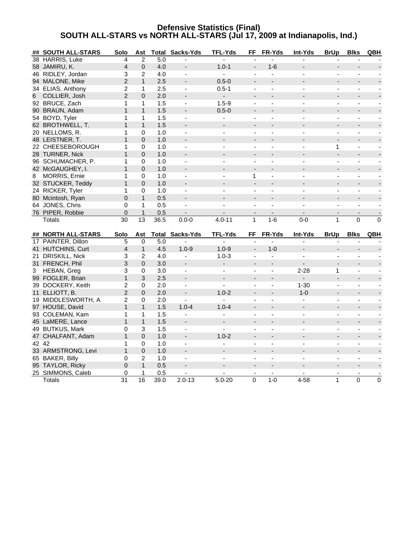## **Defensive Statistics (Final) SOUTH ALL-STARS vs NORTH ALL-STARS (Jul 17, 2009 at Indianapolis, Ind.)**

|   | ## SOUTH ALL-STARS   | Solo            | Ast          |       | <b>Total Sacks-Yds</b>   | <b>TFL-Yds</b>               | FF                       | FR-Yds                   | Int-Yds                  | <b>BrUp</b>              | <b>Blks</b>              | QBH            |
|---|----------------------|-----------------|--------------|-------|--------------------------|------------------------------|--------------------------|--------------------------|--------------------------|--------------------------|--------------------------|----------------|
|   | 38 HARRIS, Luke      | 4               | 2            | 5.0   |                          |                              |                          |                          |                          |                          |                          |                |
|   | 58 JAMIRU, K.        | 4               | $\Omega$     | 4.0   |                          | $1.0 - 1$                    | $\overline{\phantom{a}}$ | $1 - 6$                  |                          |                          |                          |                |
|   | 46 RIDLEY, Jordan    | 3               | 2            | 4.0   | $\sim$                   | $\blacksquare$               | $\sim$                   | $\overline{a}$           |                          | $\overline{\phantom{a}}$ | $\blacksquare$           |                |
|   | 94 MALONE, Mike      | $\overline{2}$  | $\mathbf{1}$ | 2.5   |                          | $0.5 - 0$                    |                          |                          |                          |                          |                          |                |
|   | 34 ELIAS, Anthony    | $\overline{c}$  | 1            | 2.5   | $\overline{\phantom{a}}$ | $0.5 - 1$                    | $\blacksquare$           | $\overline{\phantom{a}}$ |                          | $\blacksquare$           |                          |                |
| 6 | COLLIER, Josh        | $\overline{2}$  | $\mathbf{0}$ | 2.0   |                          | $\blacksquare$               |                          |                          |                          |                          |                          |                |
|   | 92 BRUCE, Zach       | 1               | 1            | 1.5   | $\blacksquare$           | $1.5 - 9$                    | $\blacksquare$           | ÷,                       | ÷                        | $\blacksquare$           | $\blacksquare$           |                |
|   | 90 BRAUN, Adam       | $\mathbf{1}$    | $\mathbf{1}$ | 1.5   |                          | $0.5 - 0$                    |                          |                          |                          |                          |                          |                |
|   | 54 BOYD, Tyler       | 1               | 1            | 1.5   | $\blacksquare$           |                              | ÷,                       |                          |                          | ÷,                       |                          |                |
|   | 62 BROTHWELL, T.     | 1               | $\mathbf{1}$ | 1.5   |                          |                              |                          |                          |                          |                          |                          |                |
|   | 20 NELLOMS, R.       | 1               | 0            | 1.0   | $\blacksquare$           | $\blacksquare$               | $\blacksquare$           | $\overline{a}$           | $\overline{\phantom{a}}$ | $\blacksquare$           | $\blacksquare$           | $\blacksquare$ |
|   | 48 LEISTNER, T.      | 1               | $\mathbf{0}$ | 1.0   |                          |                              |                          |                          |                          |                          |                          |                |
|   | 22 CHEESEBOROUGH     | 1               | $\Omega$     | 1.0   |                          |                              | $\overline{a}$           |                          |                          | 1                        |                          |                |
|   | 28 TURNER, Nick      | $\mathbf{1}$    | $\Omega$     | 1.0   |                          |                              | $\overline{a}$           |                          |                          | $\overline{\phantom{a}}$ |                          |                |
|   | 96 SCHUMACHER, P.    | 1               | 0            | 1.0   | $\blacksquare$           | $\blacksquare$               | $\blacksquare$           | $\blacksquare$           | $\blacksquare$           | $\blacksquare$           | $\blacksquare$           | $\sim$         |
|   | 42 McGAUGHEY, I.     | $\mathbf{1}$    | $\mathbf{0}$ | 1.0   |                          |                              | $\overline{\phantom{a}}$ |                          |                          |                          |                          |                |
| 8 | <b>MORRIS, Ernie</b> | 1               | 0            | 1.0   | $\blacksquare$           |                              | $\mathbf{1}$             | ä,                       |                          | $\blacksquare$           |                          |                |
|   | 32 STUCKER, Teddy    | $\mathbf{1}$    | $\mathbf 0$  | 1.0   | $\blacksquare$           |                              | $\blacksquare$           |                          |                          | $\overline{a}$           |                          |                |
|   | 24 RICKER, Tyler     | $\mathbf{1}$    | 0            | 1.0   | $\blacksquare$           |                              | $\blacksquare$           |                          |                          | ÷,                       | $\blacksquare$           |                |
|   | 80 Mcintosh, Ryan    | 0               | $\mathbf{1}$ | 0.5   |                          |                              | $\overline{\phantom{a}}$ |                          |                          |                          |                          |                |
|   | 64 JONES, Chris      | 0               | $\mathbf{1}$ | 0.5   | $\overline{a}$           |                              | $\overline{a}$           | $\overline{a}$           |                          | $\overline{a}$           | $\overline{a}$           |                |
|   | 76 PIPER, Robbie     | 0               | $\mathbf{1}$ | 0.5   |                          |                              |                          |                          |                          |                          |                          |                |
|   |                      |                 |              |       |                          |                              |                          |                          |                          |                          |                          |                |
|   |                      |                 |              |       |                          |                              |                          |                          |                          |                          |                          |                |
|   | <b>Totals</b>        | $\overline{30}$ | 13           | 36.5  | $0.0 - 0$                | $4.0 - 11$                   | $\mathbf{1}$             | $1 - 6$                  | $0 - 0$                  | $\mathbf{1}$             | 0                        | $\mathbf 0$    |
|   | ## NORTH ALL-STARS   | Solo            | Ast          | Total | Sacks-Yds                | <b>TFL-Yds</b>               | FF                       | FR-Yds                   | Int-Yds                  | <b>BrUp</b>              | <b>Blks</b>              | QBH            |
|   | 17 PAINTER, Dillon   | 5               | 0            | 5.0   |                          |                              |                          |                          |                          |                          |                          |                |
|   | 41 HUTCHINS, Curt    | 4               | $\mathbf{1}$ | 4.5   | $1.0 - 9$                | $1.0 - 9$                    | $\overline{\phantom{a}}$ | $1 - 0$                  |                          |                          |                          |                |
|   | 21 DRISKILL, Nick    | 3               | 2            | 4.0   | $\blacksquare$           | $1.0 - 3$                    | $\blacksquare$           | ÷,                       | $\blacksquare$           | ÷,                       | $\blacksquare$           |                |
|   | 31 FRENCH, Phil      | 3               | $\mathbf{0}$ | 3.0   |                          | $\overline{\phantom{a}}$     | $\overline{\phantom{a}}$ |                          | $\blacksquare$           |                          |                          |                |
|   | 3 HEBAN, Greg        | 3               | $\mathbf 0$  | 3.0   | $\blacksquare$           | $\blacksquare$               | ÷,                       | $\blacksquare$           | $2 - 28$                 | $\mathbf{1}$             | $\blacksquare$           |                |
|   | 99 FOGLER, Brian     | $\mathbf{1}$    | 3            | 2.5   | $\overline{\phantom{a}}$ | $\qquad \qquad \blacksquare$ | $\overline{\phantom{a}}$ |                          | ÷.                       | $\blacksquare$           | $\blacksquare$           |                |
|   | 39 DOCKERY, Keith    | $\overline{c}$  | 0            | 2.0   | $\overline{\phantom{a}}$ | $\blacksquare$               | $\overline{\phantom{a}}$ | $\overline{a}$           | $1 - 30$                 | $\overline{\phantom{a}}$ | $\overline{\phantom{a}}$ | $\sim$         |
|   | 11 ELLIOTT, B.       | $\overline{2}$  | $\mathbf{0}$ | 2.0   | $\overline{a}$           | $1.0 - 2$                    | $\overline{\phantom{a}}$ |                          | $1 - 0$                  | $\overline{a}$           |                          |                |
|   | 19 MIDDLESWORTH, A   | 2               | 0            | 2.0   |                          |                              | $\overline{a}$           |                          |                          | ÷,                       |                          |                |
|   | 97 HOUSE, David      | $\mathbf{1}$    | $\mathbf{1}$ | 1.5   | $1.0 - 4$                | $1.0 - 4$                    | $\overline{a}$           |                          |                          | $\overline{\phantom{a}}$ |                          |                |
|   | 93 COLEMAN, Kam      | 1               | 1            | 1.5   | $\blacksquare$           |                              | $\blacksquare$           | $\blacksquare$           | $\blacksquare$           | $\blacksquare$           | $\blacksquare$           |                |
|   | 45 LaMERE, Lance     | $\mathbf{1}$    | $\mathbf{1}$ | 1.5   |                          |                              |                          |                          |                          |                          |                          |                |
|   | 49 BUTKUS, Mark      | 0               | 3            | 1.5   | $\blacksquare$           | ä,                           |                          | ä,                       |                          | ÷,                       |                          |                |
|   | 47 CHALFANT, Adam    | $\mathbf{1}$    | $\mathbf 0$  | 1.0   | $\blacksquare$           | $1.0 - 2$                    | $\overline{a}$           |                          |                          | $\overline{a}$           |                          |                |
|   | 42 42                | $\mathbf{1}$    | 0            | 1.0   | $\blacksquare$           |                              | $\blacksquare$           |                          |                          |                          | $\blacksquare$           |                |
|   | 33 ARMSTRONG, Levi   | $\mathbf{1}$    | $\mathbf{0}$ | 1.0   |                          |                              | $\overline{\phantom{a}}$ |                          |                          |                          | $\overline{a}$           |                |
|   | 65 BAKER, Billy      | 0               | 2            | 1.0   | $\sim$                   | $\overline{a}$               | $\overline{a}$           | $\overline{a}$           |                          | ÷,                       | $\overline{a}$           |                |
|   | 95 TAYLOR, Ricky     | $\overline{0}$  | $\mathbf{1}$ | 0.5   | $\blacksquare$           |                              |                          |                          |                          |                          |                          |                |
|   | 25 SIMMONS, Caleb    | 0<br>31         | 1<br>16      | 0.5   |                          |                              |                          | $1 - 0$                  |                          |                          | $\mathbf 0$              | $\mathbf 0$    |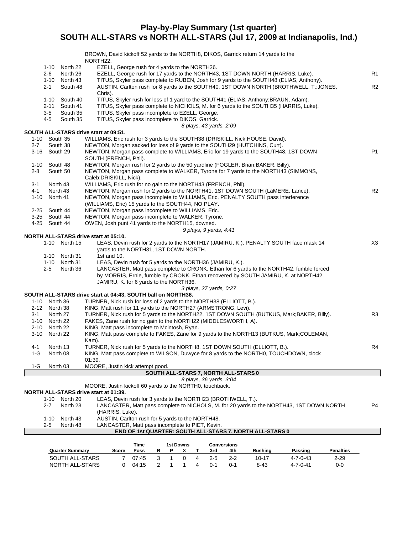# **Play-by-Play Summary (1st quarter) SOUTH ALL-STARS vs NORTH ALL-STARS (Jul 17, 2009 at Indianapolis, Ind.)**

|         |               |                      | BROWN, David kickoff 52 yards to the NORTH8, DIKOS, Garrick return 14 yards to the                                                                   |                |
|---------|---------------|----------------------|------------------------------------------------------------------------------------------------------------------------------------------------------|----------------|
|         |               |                      | NORTH <sub>22</sub> .                                                                                                                                |                |
|         | 1-10<br>2-6   | North 22<br>North 26 | EZELL, George rush for 4 yards to the NORTH26.<br>EZELL, George rush for 17 yards to the NORTH43, 1ST DOWN NORTH (HARRIS, Luke).                     | R <sub>1</sub> |
|         | 1-10          | North 43             | TITUS, Skyler pass complete to RUBEN, Josh for 9 yards to the SOUTH48 (ELIAS, Anthony).                                                              |                |
|         | $2 - 1$       | South 48             | AUSTIN, Carlton rush for 8 yards to the SOUTH40, 1ST DOWN NORTH (BROTHWELL, T.; JONES,                                                               | R2             |
|         |               |                      | Chris).                                                                                                                                              |                |
|         | 1-10          | South 40             | TITUS, Skyler rush for loss of 1 yard to the SOUTH41 (ELIAS, Anthony; BRAUN, Adam).                                                                  |                |
|         | 2-11          | South 41             | TITUS, Skyler pass complete to NICHOLS, M. for 6 yards to the SOUTH35 (HARRIS, Luke).                                                                |                |
|         | $3-5$         | South 35             | TITUS, Skyler pass incomplete to EZELL, George.                                                                                                      |                |
|         | 4-5           | South 35             | TITUS, Skyler pass incomplete to DIKOS, Garrick.                                                                                                     |                |
|         |               |                      | 8 plays, 43 yards, 2:09                                                                                                                              |                |
|         |               |                      | SOUTH ALL-STARS drive start at 09:51.                                                                                                                |                |
|         | 1-10 South 35 |                      | WILLIAMS, Eric rush for 3 yards to the SOUTH38 (DRISKILL, Nick; HOUSE, David).                                                                       |                |
| $2 - 7$ |               | South 38             | NEWTON, Morgan sacked for loss of 9 yards to the SOUTH29 (HUTCHINS, Curt).                                                                           |                |
|         | 3-16 South 29 |                      | NEWTON, Morgan pass complete to WILLIAMS, Eric for 19 yards to the SOUTH48, 1ST DOWN<br>SOUTH (FRENCH, Phil).                                        | P1             |
|         | 1-10 South 48 |                      | NEWTON, Morgan rush for 2 yards to the 50 yardline (FOGLER, Brian; BAKER, Billy).                                                                    |                |
| 2-8     |               | South 50             | NEWTON, Morgan pass complete to WALKER, Tyrone for 7 yards to the NORTH43 (SIMMONS,                                                                  |                |
|         |               |                      | Caleb; DRISKILL, Nick).                                                                                                                              |                |
| 3-1     |               | North 43             | WILLIAMS, Eric rush for no gain to the NORTH43 (FRENCH, Phil).                                                                                       |                |
| 4-1     |               | North 43             | NEWTON, Morgan rush for 2 yards to the NORTH41, 1ST DOWN SOUTH (LaMERE, Lance).                                                                      | R2             |
| 1-10    |               | North 41             | NEWTON, Morgan pass incomplete to WILLIAMS, Eric, PENALTY SOUTH pass interference                                                                    |                |
|         |               |                      | (WILLIAMS, Eric) 15 yards to the SOUTH44, NO PLAY.                                                                                                   |                |
|         | 2-25 South 44 |                      | NEWTON, Morgan pass incomplete to WILLIAMS, Eric.                                                                                                    |                |
|         | 3-25 South 44 |                      | NEWTON, Morgan pass incomplete to WALKER, Tyrone.                                                                                                    |                |
|         | 4-25 South 44 |                      | OWEN, Josh punt 41 yards to the NORTH15, downed.                                                                                                     |                |
|         |               |                      | 9 plays, 9 yards, 4:41                                                                                                                               |                |
|         |               |                      | NORTH ALL-STARS drive start at 05:10.                                                                                                                |                |
|         |               | 1-10 North 15        | LEAS, Devin rush for 2 yards to the NORTH17 (JAMIRU, K.), PENALTY SOUTH face mask 14                                                                 | X3             |
|         |               |                      | yards to the NORTH31, 1ST DOWN NORTH.                                                                                                                |                |
|         | 1-10          | North 31             | 1st and 10.                                                                                                                                          |                |
|         |               | 1-10 North 31        | LEAS, Devin rush for 5 yards to the NORTH36 (JAMIRU, K.).<br>LANCASTER, Matt pass complete to CRONK, Ethan for 6 yards to the NORTH42, fumble forced |                |
|         | 2-5           | North 36             | by MORRIS, Ernie, fumble by CRONK, Ethan recovered by SOUTH JAMIRU, K. at NORTH42,                                                                   |                |
|         |               |                      | JAMIRU, K. for 6 yards to the NORTH36.                                                                                                               |                |
|         |               |                      | 3 plays, 27 yards, 0:27                                                                                                                              |                |
|         |               |                      | SOUTH ALL-STARS drive start at 04:43, SOUTH ball on NORTH36.                                                                                         |                |
|         | 1-10 North 36 |                      | TURNER, Nick rush for loss of 2 yards to the NORTH38 (ELLIOTT, B.).                                                                                  |                |
|         | 2-12 North 38 |                      | KING, Matt rush for 11 yards to the NORTH27 (ARMSTRONG, Levi).                                                                                       |                |
| $3 - 1$ |               | North 27             | TURNER, Nick rush for 5 yards to the NORTH22, 1ST DOWN SOUTH (BUTKUS, Mark;BAKER, Billy).                                                            | R <sub>3</sub> |
|         | 1-10 North 22 |                      | FAKES, Zane rush for no gain to the NORTH22 (MIDDLESWORTH, A).                                                                                       |                |
|         | 2-10 North 22 |                      | KING, Matt pass incomplete to Mcintosh, Ryan.                                                                                                        |                |
| 3-10    |               | North 22             | KING, Matt pass complete to FAKES, Zane for 9 yards to the NORTH13 (BUTKUS, Mark; COLEMAN,                                                           |                |
|         |               |                      | Kam).                                                                                                                                                |                |
| 4-1     |               | North 13             | TURNER, Nick rush for 5 yards to the NORTH8, 1ST DOWN SOUTH (ELLIOTT, B.).                                                                           | R4             |
| $1-G$   |               | North 08             | KING, Matt pass complete to WILSON, Duwyce for 8 yards to the NORTH0, TOUCHDOWN, clock                                                               |                |
|         |               |                      | 01:39.                                                                                                                                               |                |
| 1-G     |               | North 03             | MOORE, Justin kick attempt good.                                                                                                                     |                |
|         |               |                      | SOUTH ALL-STARS 7, NORTH ALL-STARS 0                                                                                                                 |                |
|         |               |                      | 8 plays, 36 yards, 3:04<br>MOORE, Justin kickoff 60 yards to the NORTH0, touchback.                                                                  |                |
|         |               |                      | <b>NORTH ALL-STARS drive start at 01:39.</b>                                                                                                         |                |
|         | $1 - 10$      | North 20             | LEAS, Devin rush for 3 yards to the NORTH23 (BROTHWELL, T.).                                                                                         |                |
|         | 2-7           | North 23             | LANCASTER, Matt pass complete to NICHOLS, M. for 20 yards to the NORTH43, 1ST DOWN NORTH                                                             | P4             |
|         |               |                      | (HARRIS, Luke).                                                                                                                                      |                |
|         | $1 - 10$      | North 43             | AUSTIN, Carlton rush for 5 yards to the NORTH48.                                                                                                     |                |
|         | $2 - 5$       | North 48             | LANCASTER, Matt pass incomplete to PIET, Kevin.                                                                                                      |                |
|         |               |                      | END OF 1st QUARTER: SOUTH ALL-STARS 7, NORTH ALL-STARS 0                                                                                             |                |
|         |               |                      | Time<br>1st Downs<br>Conversions                                                                                                                     |                |

|                        |       | Time  |  | 1st Downs |         | Conversions |                |          |                  |
|------------------------|-------|-------|--|-----------|---------|-------------|----------------|----------|------------------|
| <b>Quarter Summary</b> | Score | Poss  |  |           | 3rd     | 4th         | <b>Rushing</b> | Passing  | <b>Penalties</b> |
| SOUTH ALL-STARS        |       | 07:45 |  |           | 2-5     | $2-2$       | $10 - 17$      | 4-7-0-43 | $2 - 29$         |
| NORTH ALL-STARS        |       | 04:15 |  |           | $0 - 1$ | 0-1         | 8-43           | 4-7-0-41 | 0-0              |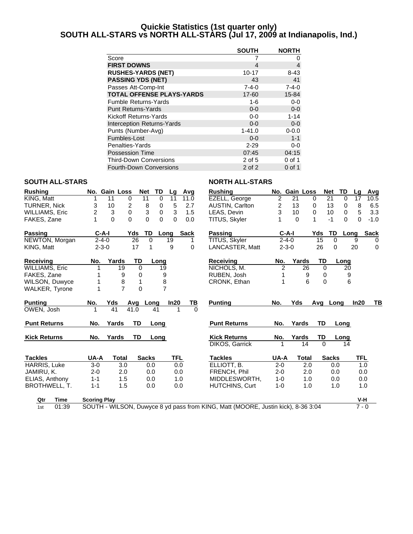## **Quickie Statistics (1st quarter only) SOUTH ALL-STARS vs NORTH ALL-STARS (Jul 17, 2009 at Indianapolis, Ind.)**

|                                  | <b>SOUTH</b> | <b>NORTH</b> |
|----------------------------------|--------------|--------------|
| Score                            | 7            | O)           |
| <b>FIRST DOWNS</b>               | 4            | 4            |
| <b>RUSHES-YARDS (NET)</b>        | $10 - 17$    | $8 - 43$     |
| <b>PASSING YDS (NET)</b>         | 43           | 41           |
| Passes Att-Comp-Int              | $7 - 4 - 0$  | $7 - 4 - 0$  |
| <b>TOTAL OFFENSE PLAYS-YARDS</b> | 17-60        | 15-84        |
| <b>Fumble Returns-Yards</b>      | 1-6          | $0-0$        |
| <b>Punt Returns-Yards</b>        | $0 - 0$      | $0 - 0$      |
| Kickoff Returns-Yards            | $0 - 0$      | $1 - 14$     |
| Interception Returns-Yards       | $0 - 0$      | $0 - 0$      |
| Punts (Number-Avg)               | $1 - 41.0$   | $0 - 0.0$    |
| Fumbles-Lost                     | $0 - 0$      | $1 - 1$      |
| Penalties-Yards                  | $2 - 29$     | $0-0$        |
| <b>Possession Time</b>           | 07:45        | 04:15        |
| <b>Third-Down Conversions</b>    | 2 of 5       | 0 of 1       |
| <b>Fourth-Down Conversions</b>   | 2 of 2       | 0 of 1       |

## **SOUTH ALL-STARS NORTH ALL-STARS**

| <b>Rushing</b>        | No. Gain Loss       |                      | <b>Net</b>     | TD<br>Lq       | Avg         | <b>Rushing</b>                                                                   |         | No. Gain Loss | Net                  | TD       | Lq      | Avg         |
|-----------------------|---------------------|----------------------|----------------|----------------|-------------|----------------------------------------------------------------------------------|---------|---------------|----------------------|----------|---------|-------------|
| KING, Matt            | 11                  | 0                    | 11             | 0<br>11        | 11.0        | EZELL, George                                                                    | 2       | 21            | 21<br>0              | $\Omega$ | 17      | 10.5        |
| <b>TURNER, Nick</b>   | 10<br>3             | 2                    | 8              | 5<br>0         | 2.7         | AUSTIN, Carlton                                                                  | 2       | 13            | 13<br>0              | 0        | 8       | 6.5         |
| WILLIAMS, Eric        | 2                   | 3<br>0               | 3              | 3<br>0         | 1.5         | LEAS, Devin                                                                      | 3       | 10            | 10<br>0              | 0        | 5       | 3.3         |
| FAKES, Zane           | 1                   | $\Omega$<br>$\Omega$ | $\Omega$       | 0<br>$\Omega$  | 0.0         | TITUS, Skyler                                                                    |         | $\Omega$      | $\mathbf{1}$<br>$-1$ | $\Omega$ | 0       | $-1.0$      |
| Passing               | C-A-I               | Yds                  | TD             | Long           | <b>Sack</b> | Passing                                                                          |         | $C-A-I$       | Yds                  | TD       | Long    | <b>Sack</b> |
| NEWTON, Morgan        | $2 - 4 - 0$         |                      | 26<br>$\Omega$ | 19             |             | TITUS, Skyler                                                                    |         | $2 - 4 - 0$   | 15                   | 0        | 9       | 0           |
| KING. Matt            | $2 - 3 - 0$         |                      | 17<br>1        | 9              | 0           | LANCASTER, Matt                                                                  |         | $2 - 3 - 0$   | 26                   | 0        | 20      | $\Omega$    |
| Receiving             | No.                 | Yards                | <b>TD</b>      | Long           |             | Receiving                                                                        | No.     | Yards         | TD                   | Long     |         |             |
| WILLIAMS, Eric        |                     | 19                   | $\Omega$       | 19             |             | NICHOLS, M.                                                                      | 2       | 26            | $\Omega$             | 20       |         |             |
| FAKES, Zane           |                     | 9                    | 0              | 9              |             | RUBEN, Josh                                                                      | 1       | 9             | 0                    | 9        |         |             |
| WILSON, Duwyce        |                     | 8                    | 1              | 8              |             | CRONK, Ethan                                                                     | 1       | 6             | $\Omega$             | 6        |         |             |
| <b>WALKER, Tyrone</b> |                     | $\overline{7}$       | $\Omega$       | $\overline{7}$ |             |                                                                                  |         |               |                      |          |         |             |
| <b>Punting</b>        | No.                 | Yds<br>Avg           | Long           | In20           | ΤВ          | <b>Punting</b>                                                                   | No.     | <b>Yds</b>    | Ava                  | Lona     | In20    | TB          |
| OWEN, Josh            | 1                   | 41<br>41.0           |                | 41             | $\Omega$    |                                                                                  |         |               |                      |          |         |             |
| <b>Punt Returns</b>   | No.                 | Yards                | TD             | Long           |             | <b>Punt Returns</b>                                                              | No.     | Yards         | <b>TD</b>            | Long     |         |             |
| <b>Kick Returns</b>   | No.                 | Yards                | TD             | Long           |             | <b>Kick Returns</b>                                                              | No.     | Yards         | TD                   | Long     |         |             |
|                       |                     |                      |                |                |             | DIKOS, Garrick                                                                   | 1       | 14            | $\Omega$             | 14       |         |             |
| <b>Tackles</b>        | UA-A                | <b>Total</b>         | <b>Sacks</b>   | TFL            |             | <b>Tackles</b>                                                                   | UA-A    | <b>Total</b>  | <b>Sacks</b>         |          | TFL     |             |
| HARRIS, Luke          | $3-0$               | 3.0                  | 0.0            |                | 0.0         | ELLIOTT, B.                                                                      | $2 - 0$ | 2.0           |                      | 0.0      | 1.0     |             |
| JAMIRU, K.            | $2 - 0$             | 2.0                  | 0.0            |                | 0.0         | FRENCH, Phil                                                                     | $2 - 0$ | 2.0           |                      | 0.0      | 0.0     |             |
| ELIAS, Anthony        | $1 - 1$             | 1.5                  | 0.0            |                | 1.0         | MIDDLESWORTH,                                                                    | $1 - 0$ | 1.0           |                      | 0.0      | 0.0     |             |
| <b>BROTHWELL, T.</b>  | $1 - 1$             | 1.5                  | 0.0            |                | 0.0         | HUTCHINS, Curt                                                                   | $1 - 0$ | 1.0           |                      | 1.0      | 1.0     |             |
| <b>Time</b><br>Qtr    | <b>Scoring Play</b> |                      |                |                |             |                                                                                  |         |               |                      |          | V-H     |             |
| 01:39<br>1st          |                     |                      |                |                |             | SOUTH - WILSON, Duwyce 8 yd pass from KING, Matt (MOORE, Justin kick), 8-36 3:04 |         |               |                      |          | $7 - 0$ |             |
|                       |                     |                      |                |                |             |                                                                                  |         |               |                      |          |         |             |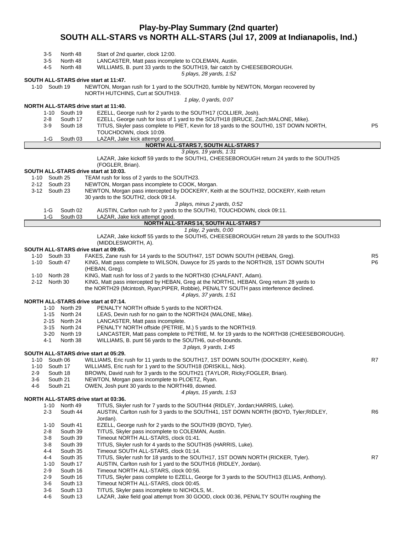# **Play-by-Play Summary (2nd quarter) SOUTH ALL-STARS vs NORTH ALL-STARS (Jul 17, 2009 at Indianapolis, Ind.)**

|               | 35              | North 48             | Start of 2nd quarter, clock 12:00.                                                                                            |                |
|---------------|-----------------|----------------------|-------------------------------------------------------------------------------------------------------------------------------|----------------|
|               | $3-5$           | North 48             | LANCASTER, Matt pass incomplete to COLEMAN, Austin.                                                                           |                |
|               | 4-5             | North 48             | WILLIAMS, B. punt 33 yards to the SOUTH19, fair catch by CHEESEBOROUGH.                                                       |                |
|               |                 |                      | 5 plays, 28 yards, 1:52                                                                                                       |                |
|               |                 |                      | SOUTH ALL-STARS drive start at 11:47.<br>NEWTON, Morgan rush for 1 yard to the SOUTH20, fumble by NEWTON, Morgan recovered by |                |
|               |                 | 1-10 South 19        | NORTH HUTCHINS, Curt at SOUTH19.                                                                                              |                |
|               |                 |                      | 1 play, 0 yards, 0:07                                                                                                         |                |
|               |                 |                      | NORTH ALL-STARS drive start at 11:40.                                                                                         |                |
|               |                 | 1-10 South 19        | EZELL, George rush for 2 yards to the SOUTH17 (COLLIER, Josh).                                                                |                |
|               | 2-8             | South 17             | EZELL, George rush for loss of 1 yard to the SOUTH18 (BRUCE, Zach; MALONE, Mike).                                             |                |
|               | 3-9             | South 18             | TITUS, Skyler pass complete to PIET, Kevin for 18 yards to the SOUTH0, 1ST DOWN NORTH,                                        | P <sub>5</sub> |
|               |                 |                      | TOUCHDOWN, clock 10:09.                                                                                                       |                |
|               | 1-G             | South 03             | LAZAR, Jake kick attempt good.                                                                                                |                |
|               |                 |                      | NORTH ALL-STARS 7, SOUTH ALL-STARS 7                                                                                          |                |
|               |                 |                      | 3 plays, 19 yards, 1:31                                                                                                       |                |
|               |                 |                      | LAZAR, Jake kickoff 59 yards to the SOUTH1, CHEESEBOROUGH return 24 yards to the SOUTH25                                      |                |
|               |                 |                      | (FOGLER, Brian).                                                                                                              |                |
|               |                 |                      | SOUTH ALL-STARS drive start at 10:03.                                                                                         |                |
|               |                 | 1-10 South 25        | TEAM rush for loss of 2 yards to the SOUTH23.                                                                                 |                |
|               |                 | 2-12 South 23        | NEWTON, Morgan pass incomplete to COOK, Morgan.                                                                               |                |
| 3-12 South 23 |                 |                      | NEWTON, Morgan pass intercepted by DOCKERY, Keith at the SOUTH32, DOCKERY, Keith return                                       |                |
|               |                 |                      | 30 yards to the SOUTH2, clock 09:14.<br>3 plays, minus 2 yards, 0:52                                                          |                |
|               | 1-G             | South 02             | AUSTIN, Carlton rush for 2 yards to the SOUTH0, TOUCHDOWN, clock 09:11.                                                       |                |
|               | $1-G$           | South 03             | LAZAR, Jake kick attempt good.                                                                                                |                |
|               |                 |                      | NORTH ALL-STARS 14, SOUTH ALL-STARS 7                                                                                         |                |
|               |                 |                      | 1 play, 2 yards, 0:00                                                                                                         |                |
|               |                 |                      | LAZAR, Jake kickoff 55 yards to the SOUTH5, CHEESEBOROUGH return 28 yards to the SOUTH33                                      |                |
|               |                 |                      | (MIDDLESWORTH, A).                                                                                                            |                |
|               |                 |                      | SOUTH ALL-STARS drive start at 09:05.                                                                                         |                |
| 1-10 South 33 |                 |                      | FAKES, Zane rush for 14 yards to the SOUTH47, 1ST DOWN SOUTH (HEBAN, Greg).                                                   | R <sub>5</sub> |
| 1-10 South 47 |                 |                      | KING, Matt pass complete to WILSON, Duwyce for 25 yards to the NORTH28, 1ST DOWN SOUTH                                        | P <sub>6</sub> |
|               |                 |                      | (HEBAN, Greg).                                                                                                                |                |
|               | 1-10 North 28   |                      | KING, Matt rush for loss of 2 yards to the NORTH30 (CHALFANT, Adam).                                                          |                |
| 2-12 North 30 |                 |                      | KING, Matt pass intercepted by HEBAN, Greg at the NORTH1, HEBAN, Greg return 28 yards to                                      |                |
|               |                 |                      | the NORTH29 (Mcintosh, Ryan; PIPER, Robbie), PENALTY SOUTH pass interference declined.                                        |                |
|               |                 |                      | 4 plays, 37 yards, 1:51                                                                                                       |                |
|               |                 | 1-10 North 29        | NORTH ALL-STARS drive start at 07:14.                                                                                         |                |
|               |                 | 1-15 North 24        | PENALTY NORTH offside 5 yards to the NORTH24.<br>LEAS, Devin rush for no gain to the NORTH24 (MALONE, Mike).                  |                |
|               |                 | 2-15 North 24        | LANCASTER, Matt pass incomplete.                                                                                              |                |
|               | 3-15            | North 24             | PENALTY NORTH offside (PETRIE, M.) 5 yards to the NORTH19.                                                                    |                |
|               |                 | 3-20 North 19        | LANCASTER, Matt pass complete to PETRIE, M. for 19 yards to the NORTH38 (CHEESEBOROUGH).                                      |                |
|               | 4-1             | North 38             | WILLIAMS, B. punt 56 yards to the SOUTH6, out-of-bounds.                                                                      |                |
|               |                 |                      | 3 plays, 9 yards, 1:45                                                                                                        |                |
|               |                 |                      | SOUTH ALL-STARS drive start at 05:29.                                                                                         |                |
| 1-10 South 06 |                 |                      | WILLIAMS, Eric rush for 11 yards to the SOUTH17, 1ST DOWN SOUTH (DOCKERY, Keith).                                             | R7             |
| $1 - 10$      |                 | South 17             | WILLIAMS, Eric rush for 1 yard to the SOUTH18 (DRISKILL, Nick).                                                               |                |
| $2-9$         |                 | South 18             | BROWN, David rush for 3 yards to the SOUTH21 (TAYLOR, Ricky; FOGLER, Brian).                                                  |                |
| $3-6$         |                 | South 21             | NEWTON, Morgan pass incomplete to PLOETZ, Ryan.                                                                               |                |
| 4-6           |                 | South 21             | OWEN, Josh punt 30 yards to the NORTH49, downed.                                                                              |                |
|               |                 |                      | 4 plays, 15 yards, 1:53                                                                                                       |                |
|               |                 |                      | NORTH ALL-STARS drive start at 03:36.                                                                                         |                |
|               |                 | 1-10 North 49        | TITUS, Skyler rush for 7 yards to the SOUTH44 (RIDLEY, Jordan; HARRIS, Luke).                                                 |                |
|               | $2 - 3$         | South 44             | AUSTIN, Carlton rush for 3 yards to the SOUTH41, 1ST DOWN NORTH (BOYD, Tyler; RIDLEY,                                         | R <sub>6</sub> |
|               |                 |                      | Jordan).<br>EZELL, George rush for 2 yards to the SOUTH39 (BOYD, Tyler).                                                      |                |
|               | $1 - 10$<br>2-8 | South 41<br>South 39 | TITUS, Skyler pass incomplete to COLEMAN, Austin.                                                                             |                |
|               | 3-8             | South 39             | Timeout NORTH ALL-STARS, clock 01:41.                                                                                         |                |
|               | 3-8             | South 39             | TITUS, Skyler rush for 4 yards to the SOUTH35 (HARRIS, Luke).                                                                 |                |
|               | 4-4             | South 35             | Timeout SOUTH ALL-STARS, clock 01:14.                                                                                         |                |
|               | 4-4             | South 35             | TITUS, Skyler rush for 18 yards to the SOUTH17, 1ST DOWN NORTH (RICKER, Tyler).                                               | R7             |
|               | $1 - 10$        | South 17             | AUSTIN, Carlton rush for 1 yard to the SOUTH16 (RIDLEY, Jordan).                                                              |                |
|               | $2 - 9$         | South 16             | Timeout NORTH ALL-STARS, clock 00:56.                                                                                         |                |
|               | 2-9             | South 16             | TITUS, Skyler pass complete to EZELL, George for 3 yards to the SOUTH13 (ELIAS, Anthony).                                     |                |
|               | 3-6             | South 13             | Timeout NORTH ALL-STARS, clock 00:45.                                                                                         |                |
|               | 3-6             | South 13             | TITUS, Skyler pass incomplete to NICHOLS, M                                                                                   |                |
|               | 4-6             | South 13             | LAZAR, Jake field goal attempt from 30 GOOD, clock 00:36, PENALTY SOUTH roughing the                                          |                |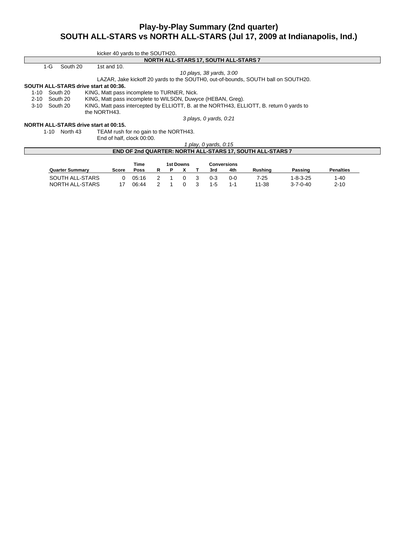# **Play-by-Play Summary (2nd quarter) SOUTH ALL-STARS vs NORTH ALL-STARS (Jul 17, 2009 at Indianapolis, Ind.)**

|               |       |               | kicker 40 yards to the SOUTH20.                                                          |
|---------------|-------|---------------|------------------------------------------------------------------------------------------|
|               |       |               | NORTH ALL-STARS 17, SOUTH ALL-STARS 7                                                    |
|               | $1-G$ | South 20      | 1st and $10$ .                                                                           |
|               |       |               | 10 plays, 38 yards, 3:00                                                                 |
|               |       |               | LAZAR, Jake kickoff 20 yards to the SOUTH0, out-of-bounds, SOUTH ball on SOUTH20.        |
|               |       |               | SOUTH ALL-STARS drive start at 00:36.                                                    |
| $1 - 10$      |       | South 20      | KING, Matt pass incomplete to TURNER, Nick.                                              |
| 2-10 South 20 |       |               | KING, Matt pass incomplete to WILSON, Duwyce (HEBAN, Greg).                              |
| 3-10 South 20 |       |               | KING, Matt pass intercepted by ELLIOTT, B. at the NORTH43, ELLIOTT, B. return 0 yards to |
|               |       |               | the NORTH43.                                                                             |
|               |       |               | 3 plays, 0 yards, 0:21                                                                   |
|               |       |               | NORTH ALL-STARS drive start at 00:15.                                                    |
|               |       | 1-10 North 43 | TEAM rush for no gain to the NORTH43.                                                    |
|               |       |               | End of half, clock 00:00.                                                                |
|               |       |               | 1 play, 0 yards, 0:15                                                                    |

| <b>END OF 2nd QUARTER: NORTH ALL-STARS 17, SOUTH ALL-STARS 7</b> |       |       |  |  |                  |  |         |                    |                |                  |                  |
|------------------------------------------------------------------|-------|-------|--|--|------------------|--|---------|--------------------|----------------|------------------|------------------|
|                                                                  |       | Time  |  |  | <b>1st Downs</b> |  |         | <b>Conversions</b> |                |                  |                  |
| <b>Quarter Summary</b>                                           | Score | Poss  |  |  |                  |  | 3rd     | 4th                | <b>Rushing</b> | Passing          | <b>Penalties</b> |
| SOUTH ALL-STARS                                                  | O.    | 05:16 |  |  |                  |  | $0 - 3$ | 0-0                | 7-25           | 1-8-3-25         | $1 - 40$         |
| NORTH ALL-STARS                                                  |       | 06:44 |  |  |                  |  | $1-5$   | $1 - 1$            | 11-38          | $3 - 7 - 0 - 40$ | $2 - 10$         |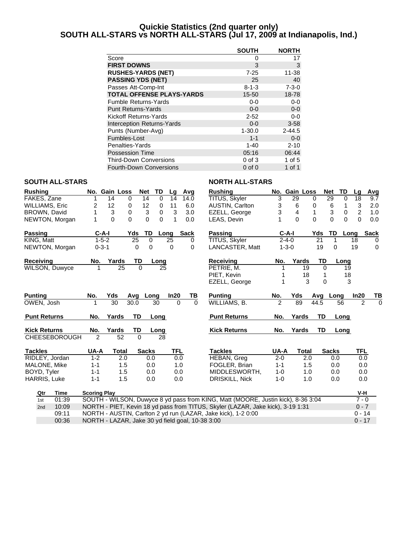## **Quickie Statistics (2nd quarter only) SOUTH ALL-STARS vs NORTH ALL-STARS (Jul 17, 2009 at Indianapolis, Ind.)**

|                                   | <b>SOUTH</b> | <b>NORTH</b> |
|-----------------------------------|--------------|--------------|
| Score                             | 0            | 17           |
| <b>FIRST DOWNS</b>                | 3            | 3            |
| <b>RUSHES-YARDS (NET)</b>         | $7 - 25$     | $11 - 38$    |
| <b>PASSING YDS (NET)</b>          | 25           | 40           |
| Passes Att-Comp-Int               | $8 - 1 - 3$  | $7 - 3 - 0$  |
| <b>TOTAL OFFENSE PLAYS-YARDS</b>  | $15 - 50$    | 18-78        |
| <b>Fumble Returns-Yards</b>       | 0-0          | $0-0$        |
| <b>Punt Returns-Yards</b>         | $0 - 0$      | $0 - 0$      |
| Kickoff Returns-Yards             | $2 - 52$     | $0-0$        |
| <b>Interception Returns-Yards</b> | $0 - 0$      | $3 - 58$     |
| Punts (Number-Avg)                | $1 - 30.0$   | $2 - 44.5$   |
| Fumbles-Lost                      | $1 - 1$      | $0 - 0$      |
| Penalties-Yards                   | $1 - 40$     | $2 - 10$     |
| <b>Possession Time</b>            | 05:16        | 06:44        |
| <b>Third-Down Conversions</b>     | $0$ of $3$   | 1 of 5       |
| <b>Fourth-Down Conversions</b>    | $0$ of $0$   | 1 of 1       |

#### **SOUTH ALL-STARS NORTH ALL-STARS**

| <b>Rushing</b>        |                     | No. Gain Loss | <b>Net</b>   | TD                            | Lq       | Avg         | <b>Rushing</b>                                                                   |                | No. Gain Loss  |          |           | <b>Net</b><br>TD     | Lq             | Avg         |
|-----------------------|---------------------|---------------|--------------|-------------------------------|----------|-------------|----------------------------------------------------------------------------------|----------------|----------------|----------|-----------|----------------------|----------------|-------------|
| FAKES, Zane           |                     | 14            | 0<br>14      | $\mathbf 0$                   | 14       | 14.0        | TITUS, Skyler                                                                    | 3              | 29             | 0        |           | 29<br>0              | 18             | 9.7         |
| <b>WILLIAMS, Eric</b> | 2                   | 12            | 12<br>0      | 0                             | 11       | 6.0         | <b>AUSTIN, Carlton</b>                                                           | 3              | 6              | 0        |           | 6<br>1               | 3              | 2.0         |
| BROWN, David          | 1                   | 3             | $\mathbf 0$  | $\mathfrak{S}$<br>$\mathbf 0$ | 3        | 3.0         | EZELL, George                                                                    | 3              | $\overline{4}$ | 1        |           | 3<br>$\mathbf 0$     | $\overline{2}$ | 1.0         |
| NEWTON, Morgan        | 1                   | 0             | $\Omega$     | $\Omega$<br>0                 | 1        | 0.0         | LEAS, Devin                                                                      |                | $\Omega$       | $\Omega$ |           | $\Omega$<br>$\Omega$ | $\Omega$       | 0.0         |
| <b>Passing</b>        | $C-A-I$             |               | Yds          | TD                            | Long     | <b>Sack</b> | <b>Passing</b>                                                                   |                | $C-A-I$        |          | Yds       | TD                   | Long           | <b>Sack</b> |
| KING, Matt            | $1 - 5 - 2$         |               | 25           | $\Omega$                      | 25       | 0           | TITUS, Skyler                                                                    |                | $2 - 4 - 0$    |          | 21        | 1                    | 18             | 0           |
| NEWTON, Morgan        | $0 - 3 - 1$         |               | $\Omega$     | 0                             | 0        | 0           | LANCASTER, Matt                                                                  |                | $1 - 3 - 0$    |          | 19        | 0                    | 19             | 0           |
| <b>Receiving</b>      | No.                 | Yards         | TD           | Long                          |          |             | <b>Receiving</b>                                                                 | No.            | Yards          |          | TD        | Long                 |                |             |
| <b>WILSON, Duwyce</b> | 1                   | 25            | $\Omega$     | 25                            |          |             | PETRIE, M.                                                                       | 1              |                | 19       | $\Omega$  | 19                   |                |             |
|                       |                     |               |              |                               |          |             | PIET, Kevin                                                                      | 1              |                | 18       |           | 18                   |                |             |
|                       |                     |               |              |                               |          |             | EZELL, George                                                                    | 1              |                | 3        | $\Omega$  |                      | 3              |             |
| <b>Punting</b>        | No.                 | Yds           | Avg          | Long                          | In20     | ΤВ          | <b>Punting</b>                                                                   | No.            | Yds            |          | Avg       | Long                 | In20           | TВ          |
| OWEN, Josh            |                     | 30            | 30.0         | 30                            | $\Omega$ | $\Omega$    | WILLIAMS, B.                                                                     | $\overline{2}$ | 89             |          | 44.5      | 56                   | 2              | $\Omega$    |
| <b>Punt Returns</b>   | No.                 | Yards         | <b>TD</b>    | Long                          |          |             | <b>Punt Returns</b>                                                              | No.            | Yards          |          | <b>TD</b> | Long                 |                |             |
| <b>Kick Returns</b>   | No.                 | Yards         | TD           | Long                          |          |             | <b>Kick Returns</b>                                                              | No.            | Yards          |          | TD        | Long                 |                |             |
| <b>CHEESEBOROUGH</b>  | $\overline{2}$      | 52            | $\Omega$     | 28                            |          |             |                                                                                  |                |                |          |           |                      |                |             |
| <b>Tackles</b>        | UA-A                | <b>Total</b>  | <b>Sacks</b> |                               | TFL      |             | <b>Tackles</b>                                                                   | UA-A           |                | Total    |           | <b>Sacks</b>         | <b>TFL</b>     |             |
| RIDLEY, Jordan        | $1 - 2$             | 2.0           |              | 0.0                           | 0.0      |             | <b>HEBAN, Greg</b>                                                               | $2 - 0$        |                | 2.0      |           | 0.0                  | 0.0            |             |
| MALONE, Mike          | $1 - 1$             | 1.5           |              | 0.0                           | 1.0      |             | FOGLER, Brian                                                                    | $1 - 1$        |                | 1.5      |           | 0.0                  | 0.0            |             |
| BOYD, Tyler           | $1 - 1$             | 1.5           |              | 0.0                           | 0.0      |             | MIDDLESWORTH.                                                                    | $1 - 0$        |                | 1.0      |           | 0.0                  | 0.0            |             |
| HARRIS, Luke          | $1 - 1$             | 1.5           |              | 0.0                           | 0.0      |             | DRISKILL, Nick                                                                   | $1 - 0$        |                | 1.0      |           | 0.0                  | 0.0            |             |
| <b>Time</b><br>Qtr    | <b>Scoring Play</b> |               |              |                               |          |             |                                                                                  |                |                |          |           |                      | V-H            |             |
| 01:39<br>1st          |                     |               |              |                               |          |             | SOUTH - WILSON, Duwyce 8 yd pass from KING, Matt (MOORE, Justin kick), 8-36 3:04 |                |                |          |           |                      | $7 - 0$        |             |
| 10:09<br>2nd          |                     |               |              |                               |          |             | NORTH - PIET, Kevin 18 yd pass from TITUS, Skyler (LAZAR, Jake kick), 3-19 1:31  |                |                |          |           |                      | $0 - 7$        |             |
| 09:11                 |                     |               |              |                               |          |             | NORTH - AUSTIN, Carlton 2 yd run (LAZAR, Jake kick), 1-2 0:00                    |                |                |          |           |                      | $0 - 14$       |             |

00:36 NORTH - LAZAR, Jake 30 yd field goal, 10-38 3:00 0 - 17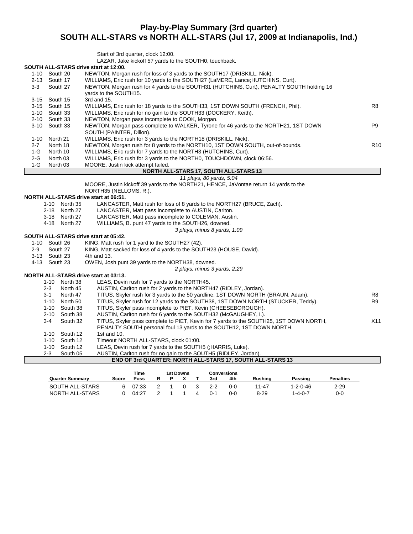# **Play-by-Play Summary (3rd quarter) SOUTH ALL-STARS vs NORTH ALL-STARS (Jul 17, 2009 at Indianapolis, Ind.)**

| Start of 3rd quarter, clock 12:00. |  |  |  |
|------------------------------------|--|--|--|
|                                    |  |  |  |

LAZAR, Jake kickoff 57 yards to the SOUTH0, touchback.

#### **SOUTH ALL-STARS drive start at 12:00.**

|          |               | ,000 111 ALL-01 AROUND GROUND 12.00.                                                                               |                 |
|----------|---------------|--------------------------------------------------------------------------------------------------------------------|-----------------|
|          | 1-10 South 20 | NEWTON, Morgan rush for loss of 3 yards to the SOUTH17 (DRISKILL, Nick).                                           |                 |
| $2 - 13$ | South 17      | WILLIAMS, Eric rush for 10 yards to the SOUTH27 (LaMERE, Lance; HUTCHINS, Curt).                                   |                 |
| $3 - 3$  | South 27      | NEWTON, Morgan rush for 4 yards to the SOUTH31 (HUTCHINS, Curt), PENALTY SOUTH holding 16<br>yards to the SOUTH15. |                 |
|          | 3-15 South 15 | 3rd and 15.                                                                                                        |                 |
|          | 3-15 South 15 | WILLIAMS, Eric rush for 18 yards to the SOUTH33, 1ST DOWN SOUTH (FRENCH, Phil).                                    | R8              |
| 1-10     | South 33      | WILLIAMS, Eric rush for no gain to the SOUTH33 (DOCKERY, Keith).                                                   |                 |
|          | 2-10 South 33 | NEWTON, Morgan pass incomplete to COOK, Morgan.                                                                    |                 |
|          | 3-10 South 33 | NEWTON, Morgan pass complete to WALKER, Tyrone for 46 yards to the NORTH21, 1ST DOWN                               | P <sub>9</sub>  |
|          |               | SOUTH (PAINTER, Dillon).                                                                                           |                 |
| $1 - 10$ | North 21      | WILLIAMS, Eric rush for 3 yards to the NORTH18 (DRISKILL, Nick).                                                   |                 |
| $2 - 7$  | North 18      | NEWTON, Morgan rush for 8 yards to the NORTH10, 1ST DOWN SOUTH, out-of-bounds.                                     | R <sub>10</sub> |
| 1-G      | North 10      | WILLIAMS, Eric rush for 7 yards to the NORTH3 (HUTCHINS, Curt).                                                    |                 |
| $2-G$    | North 03      | WILLIAMS, Eric rush for 3 yards to the NORTH0, TOUCHDOWN, clock 06:56.                                             |                 |
| 1-G      | North 03      | MOORE, Justin kick attempt failed.                                                                                 |                 |
|          |               |                                                                                                                    |                 |

#### **NORTH ALL-STARS 17, SOUTH ALL-STARS 13**

#### *11 plays, 80 yards, 5:04*

MOORE, Justin kickoff 39 yards to the NORTH21, HENCE, JaVontae return 14 yards to the NORTH35 (NELLOMS, R.).

# **NORTH ALL-STARS drive start at 06:51.**

LANCASTER, Matt rush for loss of 8 yards to the NORTH27 (BRUCE, Zach).

- 2-18 North 27 LANCASTER, Matt pass incomplete to AUSTIN, Carlton.
- 3-18 North 27 LANCASTER, Matt pass incomplete to COLEMAN, Austin.
- 4-18 North 27 WILLIAMS, B. punt 47 yards to the SOUTH26, downed.

*3 plays, minus 8 yards, 1:09*

- **SOUTH ALL-STARS drive start at 05:42.** South 26 KING, Matt rush for 1 yard to the SOUTH27 (42).<br>South 27 KING, Matt sacked for loss of 4 yards to the SOU
	- 2-9 South 27 KING, Matt sacked for loss of 4 yards to the SOUTH23 (HOUSE, David).
	- 3-13 South 23 4th and 13.
	- 4-13 South 23 OWEN, Josh punt 39 yards to the NORTH38, downed.

*2 plays, minus 3 yards, 2:29*

#### **NORTH ALL-STARS drive start at 03:13.**

|          |          | . ALL-V . ANV UITTE 3101 L 01 VY. TY.                                                  |                 |
|----------|----------|----------------------------------------------------------------------------------------|-----------------|
| $1 - 10$ | North 38 | LEAS, Devin rush for 7 yards to the NORTH45.                                           |                 |
| 2-3      | North 45 | AUSTIN, Carlton rush for 2 yards to the NORTH47 (RIDLEY, Jordan).                      |                 |
| $3 - 1$  | North 47 | TITUS, Skyler rush for 3 yards to the 50 yardline, 1ST DOWN NORTH (BRAUN, Adam).       | R8              |
| $1 - 10$ | North 50 | TITUS, Skyler rush for 12 yards to the SOUTH38, 1ST DOWN NORTH (STUCKER, Teddy).       | R9              |
| $1 - 10$ | South 38 | TITUS, Skyler pass incomplete to PIET, Kevin (CHEESEBOROUGH).                          |                 |
| $2 - 10$ | South 38 | AUSTIN, Carlton rush for 6 yards to the SOUTH32 (McGAUGHEY, I.).                       |                 |
| 3-4      | South 32 | TITUS, Skyler pass complete to PIET, Kevin for 7 yards to the SOUTH25, 1ST DOWN NORTH, | X <sub>11</sub> |
|          |          | PENALTY SOUTH personal foul 13 yards to the SOUTH12, 1ST DOWN NORTH.                   |                 |
| $1 - 10$ | South 12 | 1st and 10.                                                                            |                 |
| $1 - 10$ | South 12 | Timeout NORTH ALL-STARS, clock 01:00.                                                  |                 |
| $1 - 10$ | South 12 | LEAS, Devin rush for 7 yards to the SOUTH5 (; HARRIS, Luke).                           |                 |
| $2 - 3$  | South 05 | AUSTIN, Carlton rush for no gain to the SOUTH5 (RIDLEY, Jordan).                       |                 |
|          |          | END OF 3rd QUARTER: NORTH ALL-STARS 17, SOUTH ALL-STARS 13                             |                 |
|          |          |                                                                                        |                 |

|                        |       | Time  | 1st Downs |  |  |         | Conversions |          |          |           |
|------------------------|-------|-------|-----------|--|--|---------|-------------|----------|----------|-----------|
| <b>Quarter Summary</b> | Score | Poss  |           |  |  | 3rd     | 4th         | Rushina  | Passing  | Penalties |
| SOUTH ALL-STARS        | ี     | 07:33 |           |  |  | 2-2     | 0-0         | 11-47    | 1-2-0-46 | $2 - 29$  |
| NORTH ALL-STARS        | ∩     | 04:27 |           |  |  | $0 - 1$ | 0-0         | $8 - 29$ | 1-4-0-7  | 0-0       |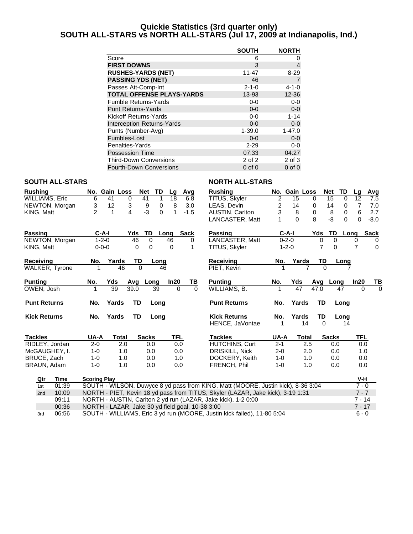## **Quickie Statistics (3rd quarter only) SOUTH ALL-STARS vs NORTH ALL-STARS (Jul 17, 2009 at Indianapolis, Ind.)**

|                                   | <b>SOUTH</b> | <b>NORTH</b>   |
|-----------------------------------|--------------|----------------|
| Score                             | 6            | O              |
| <b>FIRST DOWNS</b>                | 3            | 4              |
| <b>RUSHES-YARDS (NET)</b>         | $11 - 47$    | $8 - 29$       |
| <b>PASSING YDS (NET)</b>          | 46           | $\overline{7}$ |
| Passes Att-Comp-Int               | $2 - 1 - 0$  | $4 - 1 - 0$    |
| <b>TOTAL OFFENSE PLAYS-YARDS</b>  | 13-93        | $12 - 36$      |
| <b>Fumble Returns-Yards</b>       | $0-0$        | $0-0$          |
| <b>Punt Returns-Yards</b>         | $0 - 0$      | $0 - 0$        |
| Kickoff Returns-Yards             | $0 - 0$      | $1 - 14$       |
| <b>Interception Returns-Yards</b> | $0 - 0$      | $0 - 0$        |
| Punts (Number-Avg)                | $1 - 39.0$   | $1 - 47.0$     |
| Fumbles-Lost                      | $0 - 0$      | $0 - 0$        |
| Penalties-Yards                   | $2 - 29$     | 0-0            |
| <b>Possession Time</b>            | 07:33        | 04:27          |
| <b>Third-Down Conversions</b>     | 2 of 2       | 2 of 3         |
| <b>Fourth-Down Conversions</b>    | $0$ of $0$   | $0$ of $0$     |

#### **SOUTH ALL-STARS NORTH ALL-STARS**

| <b>Rushing</b>        |                     | No. Gain Loss                                    | Net              | TD<br>Lg |            | Avg         | <b>Rushing</b>                                                                   |                         | No. Gain Loss |           | Net          | TD          | Lq             | Avg         |
|-----------------------|---------------------|--------------------------------------------------|------------------|----------|------------|-------------|----------------------------------------------------------------------------------|-------------------------|---------------|-----------|--------------|-------------|----------------|-------------|
| <b>WILLIAMS, Eric</b> | 6                   | 41<br>0                                          | 41               | 18<br>1  |            | 6.8         | TITUS, Skyler                                                                    | $\overline{\mathbf{c}}$ | 15            | 0         | 15           | $\mathbf 0$ | 12             | 7.5         |
| NEWTON, Morgan        | 3                   | 12<br>3                                          | 9                | 8<br>0   |            | 3.0         | LEAS, Devin                                                                      | 2                       | 14            | 0         | 14           | 0           | $\overline{7}$ | 7.0         |
| KING, Matt            | $\overline{2}$      | 4<br>1                                           | $-3$             | 0<br>1   |            | $-1.5$      | <b>AUSTIN, Carlton</b>                                                           | 3                       | $\,8\,$       | 0         | 8            | $\mathbf 0$ | 6              | 2.7         |
|                       |                     |                                                  |                  |          |            |             | LANCASTER, Matt                                                                  | 1                       | $\Omega$      | 8         | $-8$         | $\Omega$    | $\Omega$       | $-8.0$      |
| <b>Passing</b>        | C-A-I               |                                                  | TD<br>Yds        | Long     |            | <b>Sack</b> | <b>Passing</b>                                                                   |                         | $C-A-I$       | Yds       | <b>TD</b>    | Long        |                | <b>Sack</b> |
| NEWTON, Morgan        | $1 - 2 - 0$         |                                                  | $\Omega$<br>46   | 46       |            | 0           | LANCASTER, Matt                                                                  |                         | $0 - 2 - 0$   | 0         | $\Omega$     |             | 0              | $\Omega$    |
| KING, Matt            | $0 - 0 - 0$         |                                                  | 0<br>$\mathbf 0$ | 0        |            | 1           | TITUS, Skyler                                                                    |                         | $1 - 2 - 0$   | 7         | $\Omega$     |             | $\overline{7}$ | $\mathbf 0$ |
| Receivina             | No.                 | Yards                                            | TD               | Long     |            |             | <b>Receiving</b>                                                                 | No.                     | Yards         | TD        |              | Long        |                |             |
| <b>WALKER, Tyrone</b> | 1                   | 46                                               | $\Omega$         | 46       |            |             | PIET. Kevin                                                                      |                         |               | 7         | $\Omega$     |             |                |             |
| <b>Punting</b>        | No.                 | Yds                                              | Avg<br>Long      | In20     |            | TB          | <b>Punting</b>                                                                   | No.                     | Yds           |           | Avg Long     |             | In20           | TВ          |
| OWEN, Josh            |                     | 39                                               | 39.0             | 39       | $\Omega$   | $\Omega$    | WILLIAMS, B.                                                                     |                         | 47            | 47.0      |              | 47          | $\Omega$       | $\Omega$    |
| <b>Punt Returns</b>   | No.                 | Yards                                            | <b>TD</b>        | Long     |            |             | <b>Punt Returns</b>                                                              | No.                     | Yards         | <b>TD</b> |              | Long        |                |             |
| <b>Kick Returns</b>   | No.                 | Yards                                            | TD               | Long     |            |             | <b>Kick Returns</b>                                                              | No.                     | Yards         | TD        |              | Long        |                |             |
|                       |                     |                                                  |                  |          |            |             | HENCE, JaVontae                                                                  |                         | 14            | $\Omega$  |              | 14          |                |             |
| <b>Tackles</b>        | UA-A                | Total                                            | <b>Sacks</b>     |          | <b>TFL</b> |             | <b>Tackles</b>                                                                   | UA-A                    | Total         |           | <b>Sacks</b> |             | TFL            |             |
| RIDLEY, Jordan        | $2 - 0$             | 2.0                                              | 0.0              |          | 0.0        |             | <b>HUTCHINS, Curt</b>                                                            | $2 - 1$                 |               | 2.5       | 0.0          |             | 0.0            |             |
| McGAUGHEY, I.         | $1 - 0$             | 1.0                                              | 0.0              |          | 0.0        |             | DRISKILL, Nick                                                                   | $2 - 0$                 |               | 2.0       | 0.0          |             | 1.0            |             |
| BRUCE, Zach           | $1 - 0$             | 1.0                                              | 0.0              |          | 1.0        |             | DOCKERY, Keith                                                                   | $1 - 0$                 |               | 1.0       | 0.0          |             | 0.0            |             |
| BRAUN, Adam           | $1 - 0$             | 1.0                                              | 0.0              |          | 0.0        |             | FRENCH, Phil                                                                     | $1 - 0$                 |               | 1.0       | 0.0          |             | 0.0            |             |
| <b>Time</b><br>Qtr    | <b>Scoring Play</b> |                                                  |                  |          |            |             |                                                                                  |                         |               |           |              |             | V-H            |             |
| 01:39<br>1st          |                     |                                                  |                  |          |            |             | SOUTH - WILSON, Duwyce 8 yd pass from KING, Matt (MOORE, Justin kick), 8-36 3:04 |                         |               |           |              |             | $7 - 0$        |             |
| 10:09<br>2nd          |                     |                                                  |                  |          |            |             | NORTH - PIET, Kevin 18 yd pass from TITUS, Skyler (LAZAR, Jake kick), 3-19 1:31  |                         |               |           |              |             | $7 - 7$        |             |
| 09:11                 |                     |                                                  |                  |          |            |             | NORTH - AUSTIN, Carlton 2 yd run (LAZAR, Jake kick), 1-2 0:00                    |                         |               |           |              |             | $7 - 14$       |             |
| 00:36                 |                     | NORTH - LAZAR, Jake 30 yd field goal, 10-38 3:00 |                  |          |            |             |                                                                                  |                         |               |           |              |             | $7 - 17$       |             |
| 06:56<br>3rd          |                     |                                                  |                  |          |            |             | SOUTH - WILLIAMS, Eric 3 yd run (MOORE, Justin kick failed), 11-80 5:04          |                         |               |           |              |             | $6 - 0$        |             |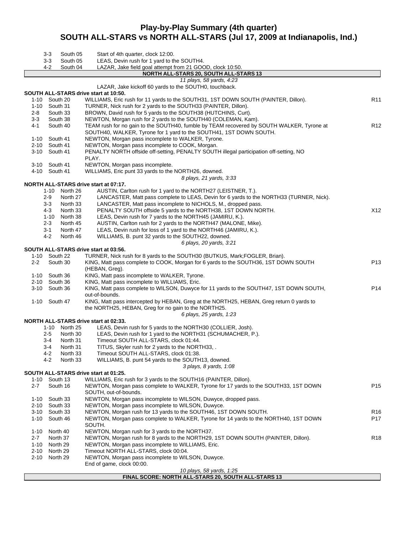# **Play-by-Play Summary (4th quarter) SOUTH ALL-STARS vs NORTH ALL-STARS (Jul 17, 2009 at Indianapolis, Ind.)**

|         | 3-3           | South 05             | Start of 4th quarter, clock 12:00.                                                                                                                        |                 |
|---------|---------------|----------------------|-----------------------------------------------------------------------------------------------------------------------------------------------------------|-----------------|
|         | 3-3           | South 05             | LEAS, Devin rush for 1 yard to the SOUTH4.                                                                                                                |                 |
|         | 4-2           | South 04             | LAZAR, Jake field goal attempt from 21 GOOD, clock 10:50.                                                                                                 |                 |
|         |               |                      | NORTH ALL-STARS 20, SOUTH ALL-STARS 13                                                                                                                    |                 |
|         |               |                      | 11 plays, 58 yards, 4:23<br>LAZAR, Jake kickoff 60 yards to the SOUTH0, touchback.                                                                        |                 |
|         |               |                      | SOUTH ALL-STARS drive start at 10:50.                                                                                                                     |                 |
|         | 1-10 South 20 |                      | WILLIAMS, Eric rush for 11 yards to the SOUTH31, 1ST DOWN SOUTH (PAINTER, Dillon).                                                                        | R11             |
|         | 1-10 South 31 |                      | TURNER, Nick rush for 2 yards to the SOUTH33 (PAINTER, Dillon).                                                                                           |                 |
| 2-8     | South 33      |                      | BROWN, David rush for 5 yards to the SOUTH38 (HUTCHINS, Curt).                                                                                            |                 |
| $3-3$   | South 38      |                      | NEWTON, Morgan rush for 2 yards to the SOUTH40 (COLEMAN, Kam).                                                                                            |                 |
| 4-1     | South 40      |                      | TEAM rush for no gain to the SOUTH40, fumble by TEAM recovered by SOUTH WALKER, Tyrone at                                                                 | R <sub>12</sub> |
|         |               |                      | SOUTH40, WALKER, Tyrone for 1 yard to the SOUTH41, 1ST DOWN SOUTH.                                                                                        |                 |
|         | 1-10 South 41 |                      | NEWTON, Morgan pass incomplete to WALKER, Tyrone.                                                                                                         |                 |
|         | 2-10 South 41 |                      | NEWTON, Morgan pass incomplete to COOK, Morgan.                                                                                                           |                 |
|         | 3-10 South 41 |                      | PENALTY NORTH offside off-setting, PENALTY SOUTH illegal participation off-setting, NO                                                                    |                 |
|         |               |                      | PLAY.                                                                                                                                                     |                 |
|         | 3-10 South 41 |                      | NEWTON, Morgan pass incomplete.                                                                                                                           |                 |
|         | 4-10 South 41 |                      | WILLIAMS, Eric punt 33 yards to the NORTH26, downed.                                                                                                      |                 |
|         |               |                      | 8 plays, 21 yards, 3:33                                                                                                                                   |                 |
|         |               |                      | NORTH ALL-STARS drive start at 07:17.                                                                                                                     |                 |
|         | 1-10<br>2-9   | North 26<br>North 27 | AUSTIN, Carlton rush for 1 yard to the NORTH27 (LEISTNER, T.).<br>LANCASTER, Matt pass complete to LEAS, Devin for 6 yards to the NORTH33 (TURNER, Nick). |                 |
|         | $3-3$         | North 33             | LANCASTER, Matt pass incomplete to NICHOLS, M., dropped pass.                                                                                             |                 |
|         | 4-3           | North 33             | PENALTY SOUTH offside 5 yards to the NORTH38, 1ST DOWN NORTH.                                                                                             | X12             |
|         | 1-10          | North 38             | LEAS, Devin rush for 7 yards to the NORTH45 (JAMIRU, K.).                                                                                                 |                 |
|         | $2-3$         | North 45             | AUSTIN, Carlton rush for 2 yards to the NORTH47 (MALONE, Mike).                                                                                           |                 |
|         | 3-1           | North 47             | LEAS, Devin rush for loss of 1 yard to the NORTH46 (JAMIRU, K.).                                                                                          |                 |
|         | 4-2           | North 46             | WILLIAMS, B. punt 32 yards to the SOUTH22, downed.                                                                                                        |                 |
|         |               |                      | 6 plays, 20 yards, 3:21                                                                                                                                   |                 |
|         |               |                      | SOUTH ALL-STARS drive start at 03:56.                                                                                                                     |                 |
|         | 1-10 South 22 |                      | TURNER, Nick rush for 8 yards to the SOUTH30 (BUTKUS, Mark; FOGLER, Brian).                                                                               |                 |
| $2 - 2$ | South 30      |                      | KING, Matt pass complete to COOK, Morgan for 6 yards to the SOUTH36, 1ST DOWN SOUTH                                                                       | P13             |
|         |               |                      | (HEBAN, Greg).                                                                                                                                            |                 |
|         | 1-10 South 36 |                      | KING, Matt pass incomplete to WALKER, Tyrone.                                                                                                             |                 |
|         | 2-10 South 36 |                      | KING, Matt pass incomplete to WILLIAMS, Eric.                                                                                                             |                 |
|         | 3-10 South 36 |                      | KING, Matt pass complete to WILSON, Duwyce for 11 yards to the SOUTH47, 1ST DOWN SOUTH,                                                                   | P14             |
|         |               |                      | out-of-bounds.                                                                                                                                            |                 |
| 1-10    | South 47      |                      | KING, Matt pass intercepted by HEBAN, Greg at the NORTH25, HEBAN, Greg return 0 yards to                                                                  |                 |
|         |               |                      | the NORTH25, HEBAN, Greg for no gain to the NORTH25.                                                                                                      |                 |
|         |               |                      | 6 plays, 25 yards, 1:23                                                                                                                                   |                 |
|         | 1-10          | North 25             | <b>NORTH ALL-STARS drive start at 02:33.</b><br>LEAS, Devin rush for 5 yards to the NORTH30 (COLLIER, Josh).                                              |                 |
|         | 2-5           | North 30             | LEAS, Devin rush for 1 yard to the NORTH31 (SCHUMACHER, P.).                                                                                              |                 |
|         | 3-4           | North 31             | Timeout SOUTH ALL-STARS, clock 01:44.                                                                                                                     |                 |
|         | 3-4           | North 31             | TITUS, Skyler rush for 2 yards to the NORTH33, .                                                                                                          |                 |
|         | $4 - 2$       | North 33             | Timeout SOUTH ALL-STARS, clock 01:38.                                                                                                                     |                 |
|         | 4-2           | North 33             | WILLIAMS, B. punt 54 yards to the SOUTH13, downed.                                                                                                        |                 |
|         |               |                      | 3 plays, 8 yards, 1:08                                                                                                                                    |                 |
|         |               |                      | SOUTH ALL-STARS drive start at 01:25.                                                                                                                     |                 |
|         | 1-10 South 13 |                      | WILLIAMS, Eric rush for 3 yards to the SOUTH16 (PAINTER, Dillon).                                                                                         |                 |
| $2 - 7$ | South 16      |                      | NEWTON, Morgan pass complete to WALKER, Tyrone for 17 yards to the SOUTH33, 1ST DOWN                                                                      | P <sub>15</sub> |
|         |               |                      | SOUTH, out-of-bounds.                                                                                                                                     |                 |
|         | 1-10 South 33 |                      | NEWTON, Morgan pass incomplete to WILSON, Duwyce, dropped pass.                                                                                           |                 |
|         | 2-10 South 33 |                      | NEWTON, Morgan pass incomplete to WILSON, Duwyce.                                                                                                         |                 |
|         | 3-10 South 33 |                      | NEWTON, Morgan rush for 13 yards to the SOUTH46, 1ST DOWN SOUTH.                                                                                          | R16             |
|         | 1-10 South 46 |                      | NEWTON, Morgan pass complete to WALKER, Tyrone for 14 yards to the NORTH40, 1ST DOWN                                                                      | P17             |
|         |               |                      | SOUTH.                                                                                                                                                    |                 |
| 1-10    | North 40      |                      | NEWTON, Morgan rush for 3 yards to the NORTH37.                                                                                                           |                 |
| $2 - 7$ | North 37      |                      | NEWTON, Morgan rush for 8 yards to the NORTH29, 1ST DOWN SOUTH (PAINTER, Dillon).                                                                         | R <sub>18</sub> |
| 1-10    | North 29      |                      | NEWTON, Morgan pass incomplete to WILLIAMS, Eric.                                                                                                         |                 |
| 2-10    | North 29      |                      | Timeout NORTH ALL-STARS, clock 00:04.                                                                                                                     |                 |
|         | 2-10 North 29 |                      | NEWTON, Morgan pass incomplete to WILSON, Duwyce.                                                                                                         |                 |
|         |               |                      | End of game, clock 00:00.                                                                                                                                 |                 |
|         |               |                      | 10 plays, 58 yards, 1:25<br>FINAL SCORE: NORTH ALL-STARS 20, SOUTH ALL-STARS 13                                                                           |                 |
|         |               |                      |                                                                                                                                                           |                 |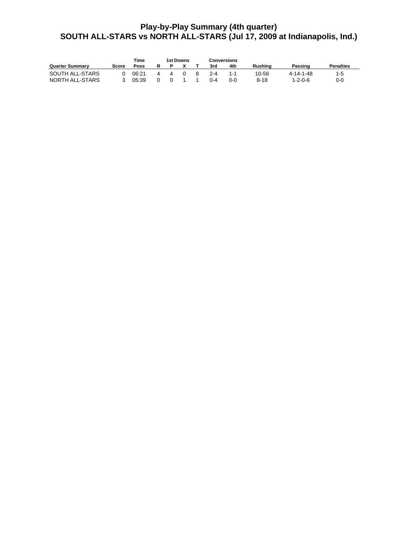# **Play-by-Play Summary (4th quarter) SOUTH ALL-STARS vs NORTH ALL-STARS (Jul 17, 2009 at Indianapolis, Ind.)**

|                        |       | Time  |  | 1st Downs | Conversions |            |          |                 |                  |
|------------------------|-------|-------|--|-----------|-------------|------------|----------|-----------------|------------------|
| <b>Quarter Summary</b> | Score | Poss  |  |           | 3rd         | 4th        | Rushina  | Passing         | <b>Penalties</b> |
| SOUTH ALL-STARS        |       | 06:21 |  |           | $2 - 4$     | 1-1        | 10-56    | 4-14-1-48       | 1-5              |
| NORTH ALL-STARS        |       | 05:39 |  |           | በ-4         | <u>ດ-ດ</u> | $8 - 18$ | $1 - 2 - 0 - 6$ | $0 - 0$          |